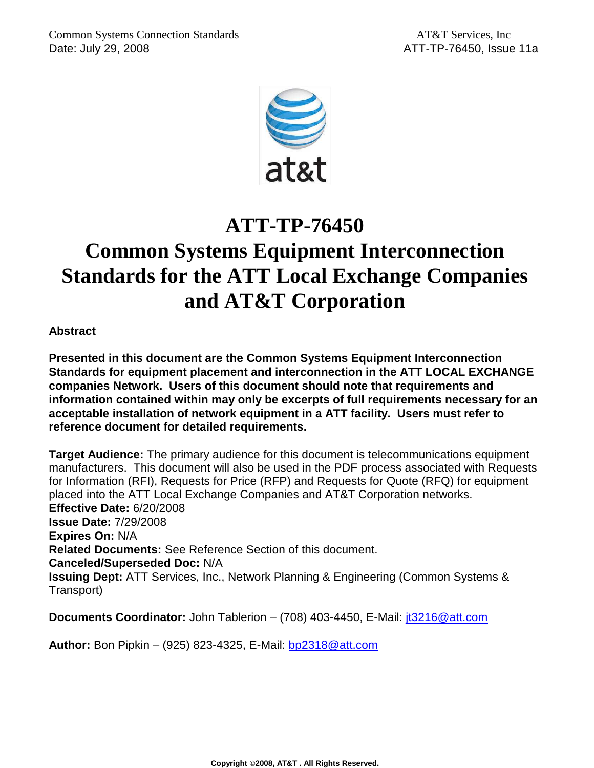

# **ATT-TP-76450**

# **Common Systems Equipment Interconnection Standards for the ATT Local Exchange Companies and AT&T Corporation**

**Abstract** 

**Presented in this document are the Common Systems Equipment Interconnection Standards for equipment placement and interconnection in the ATT LOCAL EXCHANGE companies Network. Users of this document should note that requirements and information contained within may only be excerpts of full requirements necessary for an acceptable installation of network equipment in a ATT facility. Users must refer to reference document for detailed requirements.** 

**Target Audience:** The primary audience for this document is telecommunications equipment manufacturers. This document will also be used in the PDF process associated with Requests for Information (RFI), Requests for Price (RFP) and Requests for Quote (RFQ) for equipment placed into the ATT Local Exchange Companies and AT&T Corporation networks. **Effective Date:** 6/20/2008 **Issue Date:** 7/29/2008 **Expires On:** N/A **Related Documents:** See Reference Section of this document. **Canceled/Superseded Doc:** N/A **Issuing Dept:** ATT Services, Inc., Network Planning & Engineering (Common Systems & Transport)

**Documents Coordinator:** John Tablerion – (708) 403-4450, E-Mail: *it3216@att.com* 

**Author:** Bon Pipkin – (925) 823-4325, E-Mail: bp2318@att.com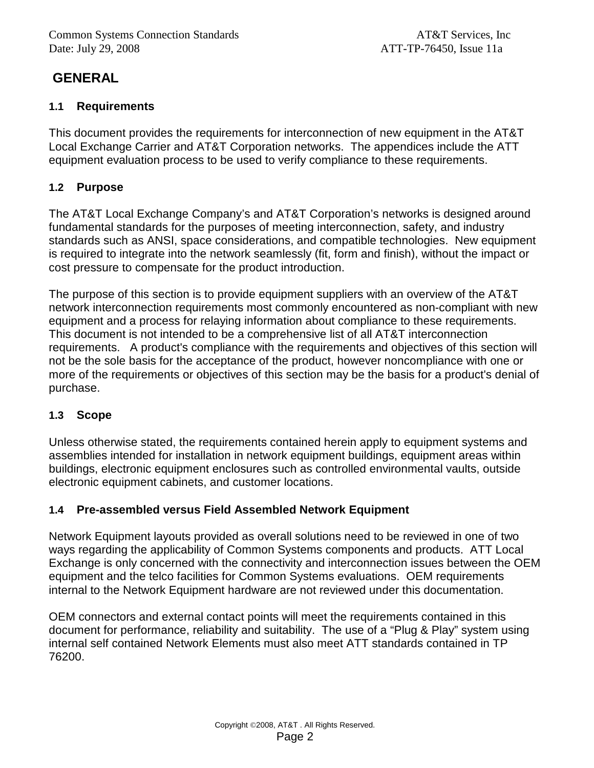# **GENERAL**

### **1.1 Requirements**

This document provides the requirements for interconnection of new equipment in the AT&T Local Exchange Carrier and AT&T Corporation networks. The appendices include the ATT equipment evaluation process to be used to verify compliance to these requirements.

### **1.2 Purpose**

The AT&T Local Exchange Company's and AT&T Corporation's networks is designed around fundamental standards for the purposes of meeting interconnection, safety, and industry standards such as ANSI, space considerations, and compatible technologies. New equipment is required to integrate into the network seamlessly (fit, form and finish), without the impact or cost pressure to compensate for the product introduction.

The purpose of this section is to provide equipment suppliers with an overview of the AT&T network interconnection requirements most commonly encountered as non-compliant with new equipment and a process for relaying information about compliance to these requirements. This document is not intended to be a comprehensive list of all AT&T interconnection requirements. A product's compliance with the requirements and objectives of this section will not be the sole basis for the acceptance of the product, however noncompliance with one or more of the requirements or objectives of this section may be the basis for a product's denial of purchase.

### **1.3 Scope**

Unless otherwise stated, the requirements contained herein apply to equipment systems and assemblies intended for installation in network equipment buildings, equipment areas within buildings, electronic equipment enclosures such as controlled environmental vaults, outside electronic equipment cabinets, and customer locations.

### **1.4 Pre-assembled versus Field Assembled Network Equipment**

Network Equipment layouts provided as overall solutions need to be reviewed in one of two ways regarding the applicability of Common Systems components and products. ATT Local Exchange is only concerned with the connectivity and interconnection issues between the OEM equipment and the telco facilities for Common Systems evaluations. OEM requirements internal to the Network Equipment hardware are not reviewed under this documentation.

OEM connectors and external contact points will meet the requirements contained in this document for performance, reliability and suitability. The use of a "Plug & Play" system using internal self contained Network Elements must also meet ATT standards contained in TP 76200.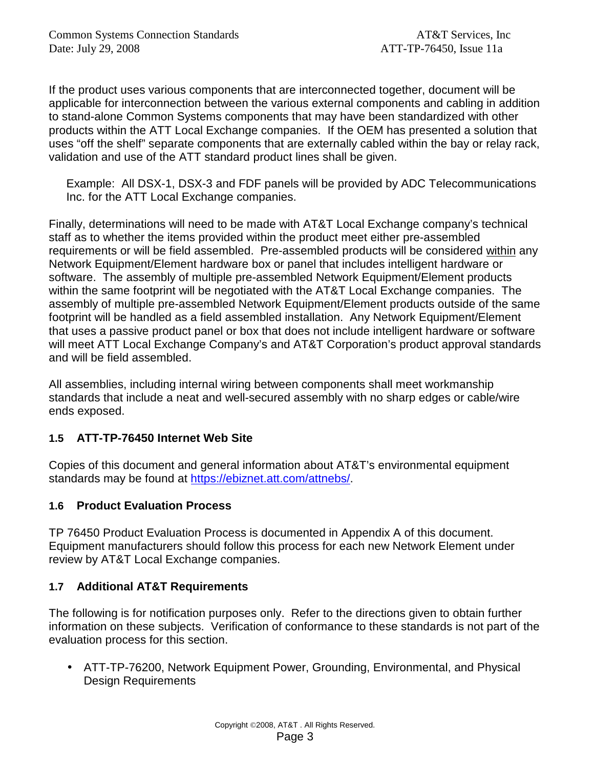If the product uses various components that are interconnected together, document will be applicable for interconnection between the various external components and cabling in addition to stand-alone Common Systems components that may have been standardized with other products within the ATT Local Exchange companies. If the OEM has presented a solution that uses "off the shelf" separate components that are externally cabled within the bay or relay rack, validation and use of the ATT standard product lines shall be given.

Example: All DSX-1, DSX-3 and FDF panels will be provided by ADC Telecommunications Inc. for the ATT Local Exchange companies.

Finally, determinations will need to be made with AT&T Local Exchange company's technical staff as to whether the items provided within the product meet either pre-assembled requirements or will be field assembled. Pre-assembled products will be considered within any Network Equipment/Element hardware box or panel that includes intelligent hardware or software. The assembly of multiple pre-assembled Network Equipment/Element products within the same footprint will be negotiated with the AT&T Local Exchange companies. The assembly of multiple pre-assembled Network Equipment/Element products outside of the same footprint will be handled as a field assembled installation. Any Network Equipment/Element that uses a passive product panel or box that does not include intelligent hardware or software will meet ATT Local Exchange Company's and AT&T Corporation's product approval standards and will be field assembled.

All assemblies, including internal wiring between components shall meet workmanship standards that include a neat and well-secured assembly with no sharp edges or cable/wire ends exposed.

### **1.5 ATT-TP-76450 Internet Web Site**

Copies of this document and general information about AT&T's environmental equipment standards may be found at https://ebiznet.att.com/attnebs/.

### **1.6 Product Evaluation Process**

TP 76450 Product Evaluation Process is documented in Appendix A of this document. Equipment manufacturers should follow this process for each new Network Element under review by AT&T Local Exchange companies.

### **1.7 Additional AT&T Requirements**

The following is for notification purposes only. Refer to the directions given to obtain further information on these subjects. Verification of conformance to these standards is not part of the evaluation process for this section.

• ATT-TP-76200, Network Equipment Power, Grounding, Environmental, and Physical Design Requirements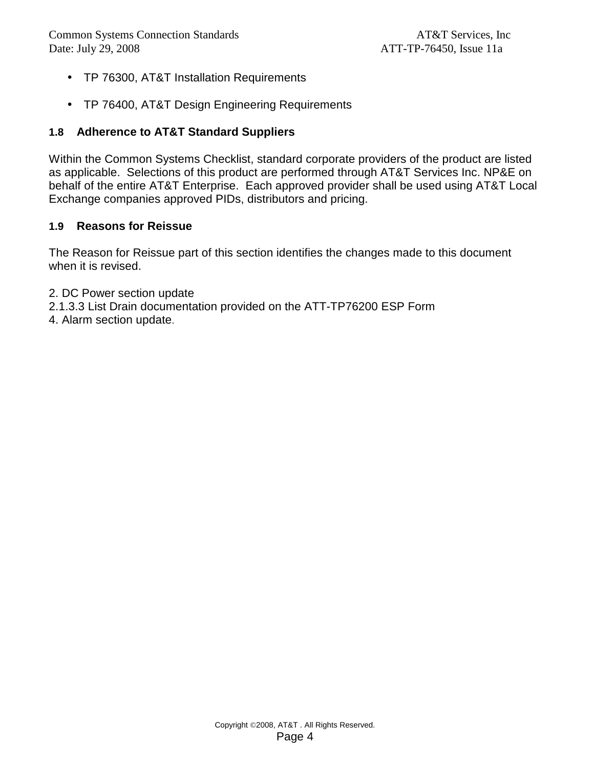- TP 76300, AT&T Installation Requirements
- TP 76400, AT&T Design Engineering Requirements

### **1.8 Adherence to AT&T Standard Suppliers**

Within the Common Systems Checklist, standard corporate providers of the product are listed as applicable. Selections of this product are performed through AT&T Services Inc. NP&E on behalf of the entire AT&T Enterprise. Each approved provider shall be used using AT&T Local Exchange companies approved PIDs, distributors and pricing.

#### **1.9 Reasons for Reissue**

The Reason for Reissue part of this section identifies the changes made to this document when it is revised.

- 2. DC Power section update
- 2.1.3.3 List Drain documentation provided on the ATT-TP76200 ESP Form
- 4. Alarm section update.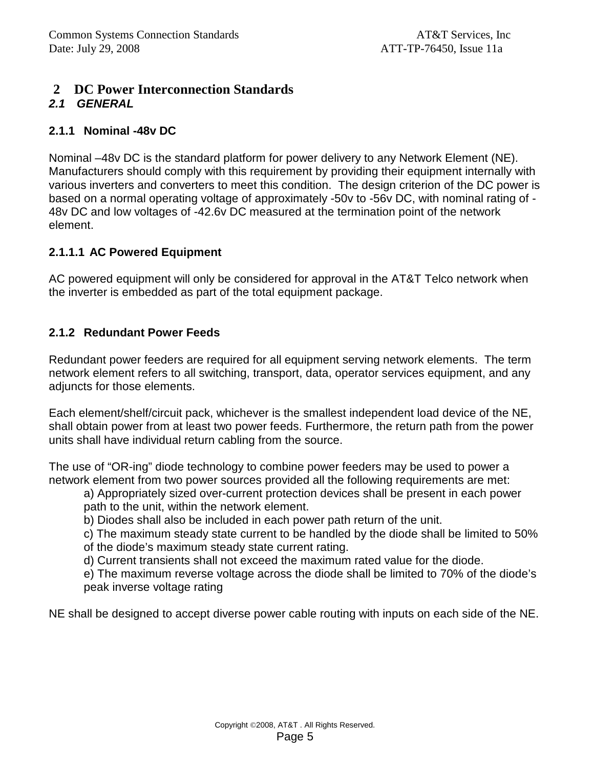# **2 DC Power Interconnection Standards**

### **2.1 GENERAL**

### **2.1.1 Nominal -48v DC**

Nominal –48v DC is the standard platform for power delivery to any Network Element (NE). Manufacturers should comply with this requirement by providing their equipment internally with various inverters and converters to meet this condition. The design criterion of the DC power is based on a normal operating voltage of approximately -50v to -56v DC, with nominal rating of - 48v DC and low voltages of -42.6v DC measured at the termination point of the network element.

### **2.1.1.1 AC Powered Equipment**

AC powered equipment will only be considered for approval in the AT&T Telco network when the inverter is embedded as part of the total equipment package.

### **2.1.2 Redundant Power Feeds**

Redundant power feeders are required for all equipment serving network elements. The term network element refers to all switching, transport, data, operator services equipment, and any adjuncts for those elements.

Each element/shelf/circuit pack, whichever is the smallest independent load device of the NE, shall obtain power from at least two power feeds. Furthermore, the return path from the power units shall have individual return cabling from the source.

The use of "OR-ing" diode technology to combine power feeders may be used to power a network element from two power sources provided all the following requirements are met:

a) Appropriately sized over-current protection devices shall be present in each power path to the unit, within the network element.

b) Diodes shall also be included in each power path return of the unit.

c) The maximum steady state current to be handled by the diode shall be limited to 50%

of the diode's maximum steady state current rating.

d) Current transients shall not exceed the maximum rated value for the diode.

e) The maximum reverse voltage across the diode shall be limited to 70% of the diode's peak inverse voltage rating

NE shall be designed to accept diverse power cable routing with inputs on each side of the NE.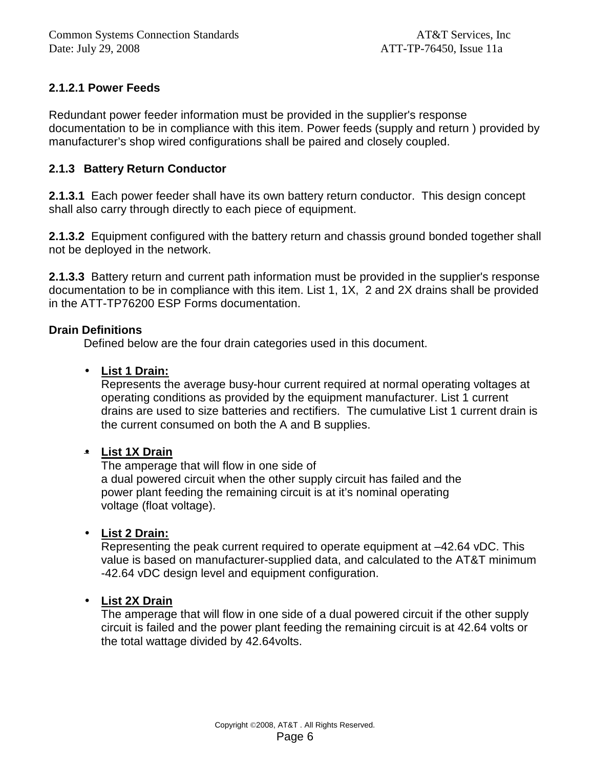### **2.1.2.1 Power Feeds**

Redundant power feeder information must be provided in the supplier's response documentation to be in compliance with this item. Power feeds (supply and return ) provided by manufacturer's shop wired configurations shall be paired and closely coupled.

#### **2.1.3 Battery Return Conductor**

**2.1.3.1** Each power feeder shall have its own battery return conductor. This design concept shall also carry through directly to each piece of equipment.

**2.1.3.2** Equipment configured with the battery return and chassis ground bonded together shall not be deployed in the network.

**2.1.3.3** Battery return and current path information must be provided in the supplier's response documentation to be in compliance with this item. List 1, 1X, 2 and 2X drains shall be provided in the ATT-TP76200 ESP Forms documentation.

#### **Drain Definitions**

Defined below are the four drain categories used in this document.

#### • **List 1 Drain:**

Represents the average busy-hour current required at normal operating voltages at operating conditions as provided by the equipment manufacturer. List 1 current drains are used to size batteries and rectifiers. The cumulative List 1 current drain is the current consumed on both the A and B supplies.

#### • **List 1X Drain**

The amperage that will flow in one side of a dual powered circuit when the other supply circuit has failed and the power plant feeding the remaining circuit is at it's nominal operating voltage (float voltage).

#### • **List 2 Drain:**

Representing the peak current required to operate equipment at –42.64 vDC. This value is based on manufacturer-supplied data, and calculated to the AT&T minimum -42.64 vDC design level and equipment configuration.

#### • **List 2X Drain**

The amperage that will flow in one side of a dual powered circuit if the other supply circuit is failed and the power plant feeding the remaining circuit is at 42.64 volts or the total wattage divided by 42.64volts.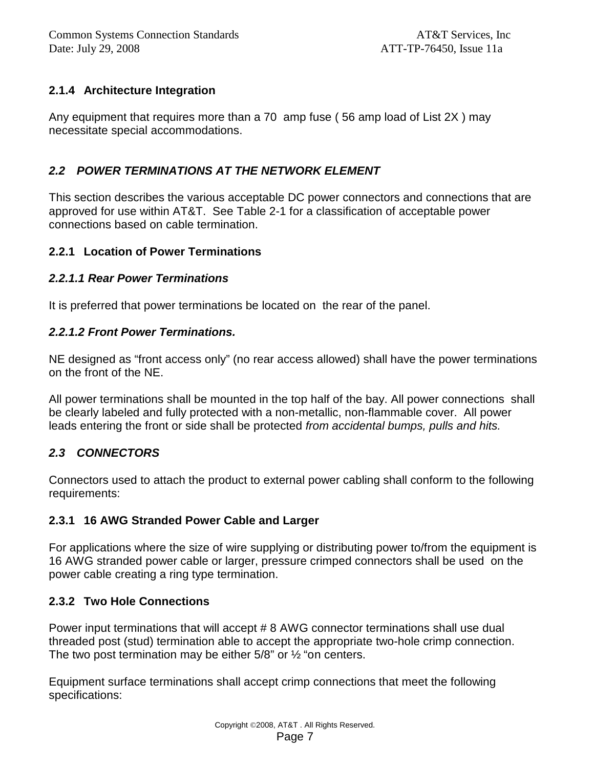### **2.1.4 Architecture Integration**

Any equipment that requires more than a 70 amp fuse ( 56 amp load of List 2X ) may necessitate special accommodations.

### **2.2 POWER TERMINATIONS AT THE NETWORK ELEMENT**

This section describes the various acceptable DC power connectors and connections that are approved for use within AT&T. See Table 2-1 for a classification of acceptable power connections based on cable termination.

### **2.2.1 Location of Power Terminations**

### **2.2.1.1 Rear Power Terminations**

It is preferred that power terminations be located on the rear of the panel.

#### **2.2.1.2 Front Power Terminations.**

NE designed as "front access only" (no rear access allowed) shall have the power terminations on the front of the NE.

All power terminations shall be mounted in the top half of the bay. All power connections shall be clearly labeled and fully protected with a non-metallic, non-flammable cover. All power leads entering the front or side shall be protected from accidental bumps, pulls and hits.

### **2.3 CONNECTORS**

Connectors used to attach the product to external power cabling shall conform to the following requirements:

### **2.3.1 16 AWG Stranded Power Cable and Larger**

For applications where the size of wire supplying or distributing power to/from the equipment is 16 AWG stranded power cable or larger, pressure crimped connectors shall be used on the power cable creating a ring type termination.

### **2.3.2 Two Hole Connections**

Power input terminations that will accept # 8 AWG connector terminations shall use dual threaded post (stud) termination able to accept the appropriate two-hole crimp connection. The two post termination may be either 5/8" or ½ "on centers.

Equipment surface terminations shall accept crimp connections that meet the following specifications: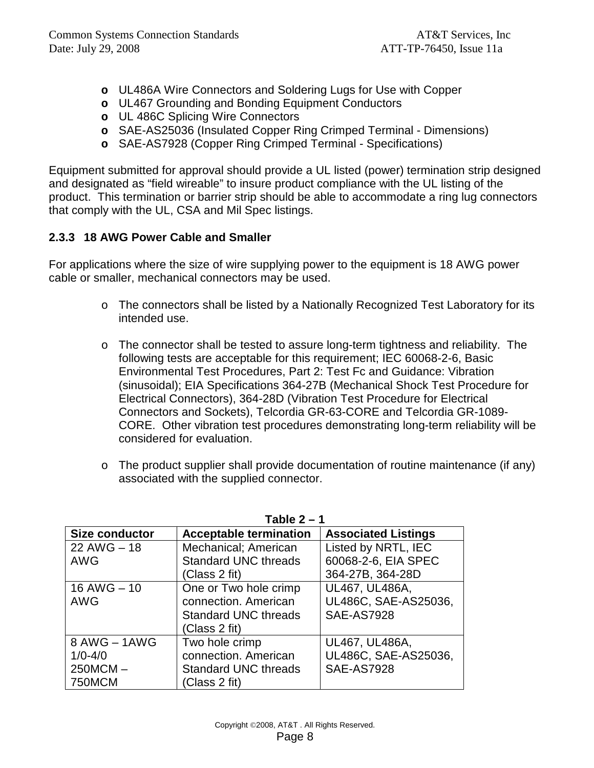- **o** UL486A Wire Connectors and Soldering Lugs for Use with Copper
- **o** UL467 Grounding and Bonding Equipment Conductors
- **o** UL 486C Splicing Wire Connectors
- **o** SAE-AS25036 (Insulated Copper Ring Crimped Terminal Dimensions)
- **o** SAE-AS7928 (Copper Ring Crimped Terminal Specifications)

Equipment submitted for approval should provide a UL listed (power) termination strip designed and designated as "field wireable" to insure product compliance with the UL listing of the product. This termination or barrier strip should be able to accommodate a ring lug connectors that comply with the UL, CSA and Mil Spec listings.

### **2.3.3 18 AWG Power Cable and Smaller**

For applications where the size of wire supplying power to the equipment is 18 AWG power cable or smaller, mechanical connectors may be used.

- o The connectors shall be listed by a Nationally Recognized Test Laboratory for its intended use.
- $\circ$  The connector shall be tested to assure long-term tightness and reliability. The following tests are acceptable for this requirement; IEC 60068-2-6, Basic Environmental Test Procedures, Part 2: Test Fc and Guidance: Vibration (sinusoidal); EIA Specifications 364-27B (Mechanical Shock Test Procedure for Electrical Connectors), 364-28D (Vibration Test Procedure for Electrical Connectors and Sockets), Telcordia GR-63-CORE and Telcordia GR-1089- CORE. Other vibration test procedures demonstrating long-term reliability will be considered for evaluation.
- $\circ$  The product supplier shall provide documentation of routine maintenance (if any) associated with the supplied connector.

|                       | Table Z –                     |                            |
|-----------------------|-------------------------------|----------------------------|
| <b>Size conductor</b> | <b>Acceptable termination</b> | <b>Associated Listings</b> |
| $22$ AWG $-18$        | Mechanical; American          | Listed by NRTL, IEC        |
| <b>AWG</b>            | <b>Standard UNC threads</b>   | 60068-2-6, EIA SPEC        |
|                       | (Class 2 fit)                 | 364-27B, 364-28D           |
| $16$ AWG $- 10$       | One or Two hole crimp         | UL467, UL486A,             |
| <b>AWG</b>            | connection. American          | UL486C, SAE-AS25036,       |
|                       | <b>Standard UNC threads</b>   | <b>SAE-AS7928</b>          |
|                       | (Class 2 fit)                 |                            |
| 8 AWG - 1AWG          | Two hole crimp                | UL467, UL486A,             |
| $1/0 - 4/0$           | connection. American          | UL486C, SAE-AS25036,       |
| $250MCM -$            | <b>Standard UNC threads</b>   | <b>SAE-AS7928</b>          |
| <b>750MCM</b>         | (Class 2 fit)                 |                            |

**Table 2 – 1**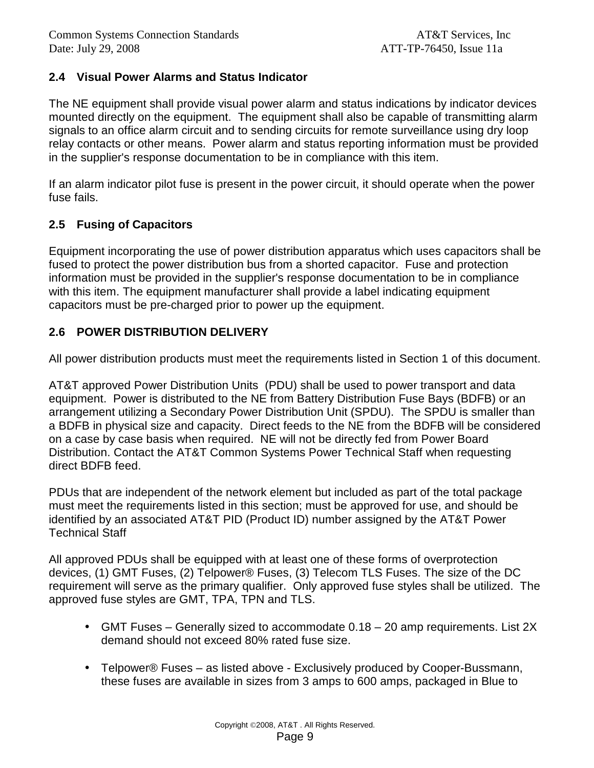### **2.4 Visual Power Alarms and Status Indicator**

The NE equipment shall provide visual power alarm and status indications by indicator devices mounted directly on the equipment. The equipment shall also be capable of transmitting alarm signals to an office alarm circuit and to sending circuits for remote surveillance using dry loop relay contacts or other means. Power alarm and status reporting information must be provided in the supplier's response documentation to be in compliance with this item.

If an alarm indicator pilot fuse is present in the power circuit, it should operate when the power fuse fails.

### **2.5 Fusing of Capacitors**

Equipment incorporating the use of power distribution apparatus which uses capacitors shall be fused to protect the power distribution bus from a shorted capacitor. Fuse and protection information must be provided in the supplier's response documentation to be in compliance with this item. The equipment manufacturer shall provide a label indicating equipment capacitors must be pre-charged prior to power up the equipment.

### **2.6 POWER DISTRIBUTION DELIVERY**

All power distribution products must meet the requirements listed in Section 1 of this document.

AT&T approved Power Distribution Units (PDU) shall be used to power transport and data equipment. Power is distributed to the NE from Battery Distribution Fuse Bays (BDFB) or an arrangement utilizing a Secondary Power Distribution Unit (SPDU). The SPDU is smaller than a BDFB in physical size and capacity. Direct feeds to the NE from the BDFB will be considered on a case by case basis when required. NE will not be directly fed from Power Board Distribution. Contact the AT&T Common Systems Power Technical Staff when requesting direct BDFB feed.

PDUs that are independent of the network element but included as part of the total package must meet the requirements listed in this section; must be approved for use, and should be identified by an associated AT&T PID (Product ID) number assigned by the AT&T Power Technical Staff

All approved PDUs shall be equipped with at least one of these forms of overprotection devices, (1) GMT Fuses, (2) Telpower® Fuses, (3) Telecom TLS Fuses. The size of the DC requirement will serve as the primary qualifier. Only approved fuse styles shall be utilized. The approved fuse styles are GMT, TPA, TPN and TLS.

- GMT Fuses Generally sized to accommodate 0.18 20 amp requirements. List 2X demand should not exceed 80% rated fuse size.
- Telpower® Fuses as listed above Exclusively produced by Cooper-Bussmann, these fuses are available in sizes from 3 amps to 600 amps, packaged in Blue to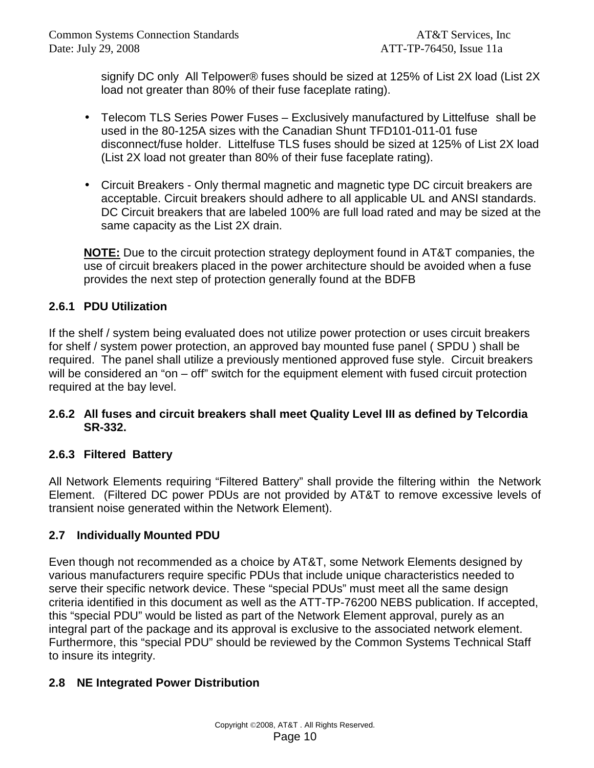signify DC only All Telpower® fuses should be sized at 125% of List 2X load (List 2X load not greater than 80% of their fuse faceplate rating).

- Telecom TLS Series Power Fuses Exclusively manufactured by Littelfuse shall be used in the 80-125A sizes with the Canadian Shunt TFD101-011-01 fuse disconnect/fuse holder. Littelfuse TLS fuses should be sized at 125% of List 2X load (List 2X load not greater than 80% of their fuse faceplate rating).
- Circuit Breakers Only thermal magnetic and magnetic type DC circuit breakers are acceptable. Circuit breakers should adhere to all applicable UL and ANSI standards. DC Circuit breakers that are labeled 100% are full load rated and may be sized at the same capacity as the List 2X drain.

**NOTE:** Due to the circuit protection strategy deployment found in AT&T companies, the use of circuit breakers placed in the power architecture should be avoided when a fuse provides the next step of protection generally found at the BDFB

### **2.6.1 PDU Utilization**

If the shelf / system being evaluated does not utilize power protection or uses circuit breakers for shelf / system power protection, an approved bay mounted fuse panel ( SPDU ) shall be required. The panel shall utilize a previously mentioned approved fuse style. Circuit breakers will be considered an "on – off" switch for the equipment element with fused circuit protection required at the bay level.

#### **2.6.2 All fuses and circuit breakers shall meet Quality Level III as defined by Telcordia SR-332.**

### **2.6.3 Filtered Battery**

All Network Elements requiring "Filtered Battery" shall provide the filtering within the Network Element. (Filtered DC power PDUs are not provided by AT&T to remove excessive levels of transient noise generated within the Network Element).

### **2.7 Individually Mounted PDU**

Even though not recommended as a choice by AT&T, some Network Elements designed by various manufacturers require specific PDUs that include unique characteristics needed to serve their specific network device. These "special PDUs" must meet all the same design criteria identified in this document as well as the ATT-TP-76200 NEBS publication. If accepted, this "special PDU" would be listed as part of the Network Element approval, purely as an integral part of the package and its approval is exclusive to the associated network element. Furthermore, this "special PDU" should be reviewed by the Common Systems Technical Staff to insure its integrity.

### **2.8 NE Integrated Power Distribution**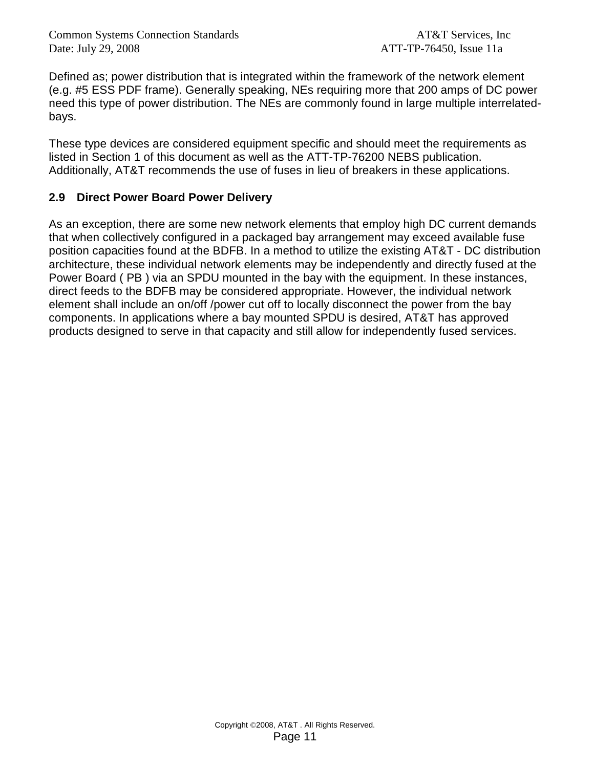Defined as; power distribution that is integrated within the framework of the network element (e.g. #5 ESS PDF frame). Generally speaking, NEs requiring more that 200 amps of DC power need this type of power distribution. The NEs are commonly found in large multiple interrelatedbays.

These type devices are considered equipment specific and should meet the requirements as listed in Section 1 of this document as well as the ATT-TP-76200 NEBS publication. Additionally, AT&T recommends the use of fuses in lieu of breakers in these applications.

### **2.9 Direct Power Board Power Delivery**

As an exception, there are some new network elements that employ high DC current demands that when collectively configured in a packaged bay arrangement may exceed available fuse position capacities found at the BDFB. In a method to utilize the existing AT&T - DC distribution architecture, these individual network elements may be independently and directly fused at the Power Board ( PB ) via an SPDU mounted in the bay with the equipment. In these instances, direct feeds to the BDFB may be considered appropriate. However, the individual network element shall include an on/off /power cut off to locally disconnect the power from the bay components. In applications where a bay mounted SPDU is desired, AT&T has approved products designed to serve in that capacity and still allow for independently fused services.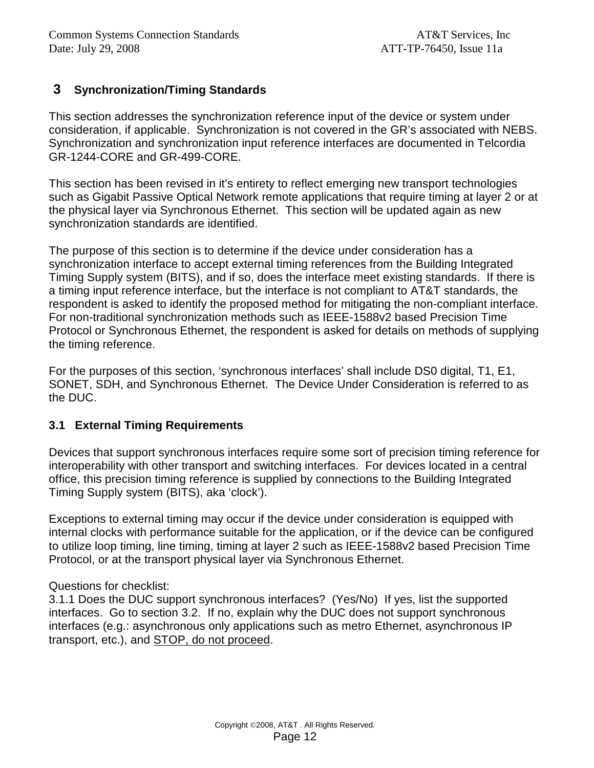### **3 Synchronization/Timing Standards**

This section addresses the synchronization reference input of the device or system under consideration, if applicable. Synchronization is not covered in the GR's associated with NEBS. Synchronization and synchronization input reference interfaces are documented in Telcordia GR-1244-CORE and GR-499-CORE.

This section has been revised in it's entirety to reflect emerging new transport technologies such as Gigabit Passive Optical Network remote applications that require timing at layer 2 or at the physical layer via Synchronous Ethernet. This section will be updated again as new synchronization standards are identified.

The purpose of this section is to determine if the device under consideration has a synchronization interface to accept external timing references from the Building Integrated Timing Supply system (BITS), and if so, does the interface meet existing standards. If there is a timing input reference interface, but the interface is not compliant to AT&T standards, the respondent is asked to identify the proposed method for mitigating the non-compliant interface. For non-traditional synchronization methods such as IEEE-1588v2 based Precision Time Protocol or Synchronous Ethernet, the respondent is asked for details on methods of supplying the timing reference.

For the purposes of this section, 'synchronous interfaces' shall include DS0 digital, T1, E1, SONET, SDH, and Synchronous Ethernet. The Device Under Consideration is referred to as the DUC.

#### **3.1 External Timing Requirements**

Devices that support synchronous interfaces require some sort of precision timing reference for interoperability with other transport and switching interfaces. For devices located in a central office, this precision timing reference is supplied by connections to the Building Integrated Timing Supply system (BITS), aka 'clock').

Exceptions to external timing may occur if the device under consideration is equipped with internal clocks with performance suitable for the application, or if the device can be configured to utilize loop timing, line timing, timing at layer 2 such as IEEE-1588v2 based Precision Time Protocol, or at the transport physical layer via Synchronous Ethernet.

#### Questions for checklist:

3.1.1 Does the DUC support synchronous interfaces? (Yes/No) If yes, list the supported interfaces. Go to section 3.2. If no, explain why the DUC does not support synchronous interfaces (e.g.: asynchronous only applications such as metro Ethernet, asynchronous IP transport, etc.), and STOP, do not proceed.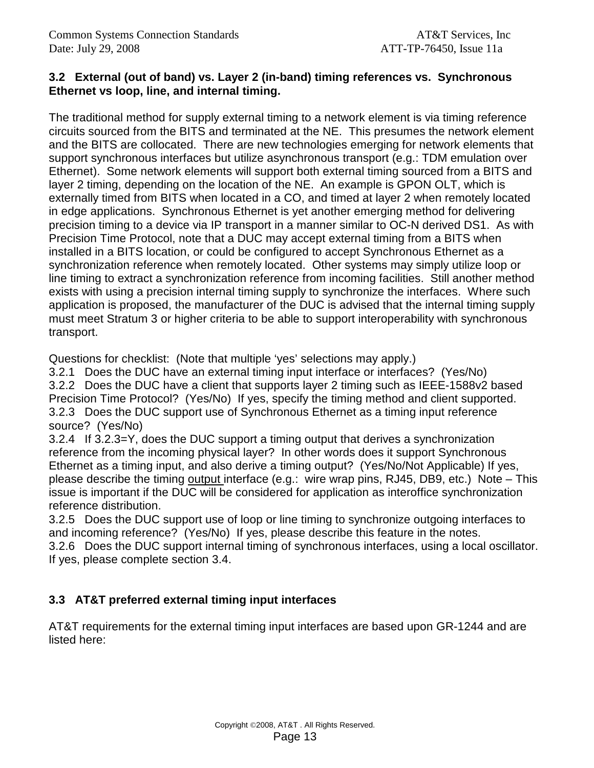#### **3.2 External (out of band) vs. Layer 2 (in-band) timing references vs. Synchronous Ethernet vs loop, line, and internal timing.**

The traditional method for supply external timing to a network element is via timing reference circuits sourced from the BITS and terminated at the NE. This presumes the network element and the BITS are collocated. There are new technologies emerging for network elements that support synchronous interfaces but utilize asynchronous transport (e.g.: TDM emulation over Ethernet). Some network elements will support both external timing sourced from a BITS and layer 2 timing, depending on the location of the NE. An example is GPON OLT, which is externally timed from BITS when located in a CO, and timed at layer 2 when remotely located in edge applications. Synchronous Ethernet is yet another emerging method for delivering precision timing to a device via IP transport in a manner similar to OC-N derived DS1. As with Precision Time Protocol, note that a DUC may accept external timing from a BITS when installed in a BITS location, or could be configured to accept Synchronous Ethernet as a synchronization reference when remotely located. Other systems may simply utilize loop or line timing to extract a synchronization reference from incoming facilities. Still another method exists with using a precision internal timing supply to synchronize the interfaces. Where such application is proposed, the manufacturer of the DUC is advised that the internal timing supply must meet Stratum 3 or higher criteria to be able to support interoperability with synchronous transport.

Questions for checklist: (Note that multiple 'yes' selections may apply.)

3.2.1 Does the DUC have an external timing input interface or interfaces? (Yes/No) 3.2.2 Does the DUC have a client that supports layer 2 timing such as IEEE-1588v2 based Precision Time Protocol? (Yes/No) If yes, specify the timing method and client supported. 3.2.3 Does the DUC support use of Synchronous Ethernet as a timing input reference source? (Yes/No)

3.2.4 If 3.2.3=Y, does the DUC support a timing output that derives a synchronization reference from the incoming physical layer? In other words does it support Synchronous Ethernet as a timing input, and also derive a timing output? (Yes/No/Not Applicable) If yes, please describe the timing output interface (e.g.: wire wrap pins, RJ45, DB9, etc.) Note – This issue is important if the DUC will be considered for application as interoffice synchronization reference distribution.

3.2.5 Does the DUC support use of loop or line timing to synchronize outgoing interfaces to and incoming reference? (Yes/No) If yes, please describe this feature in the notes.

3.2.6 Does the DUC support internal timing of synchronous interfaces, using a local oscillator. If yes, please complete section 3.4.

### **3.3 AT&T preferred external timing input interfaces**

AT&T requirements for the external timing input interfaces are based upon GR-1244 and are listed here: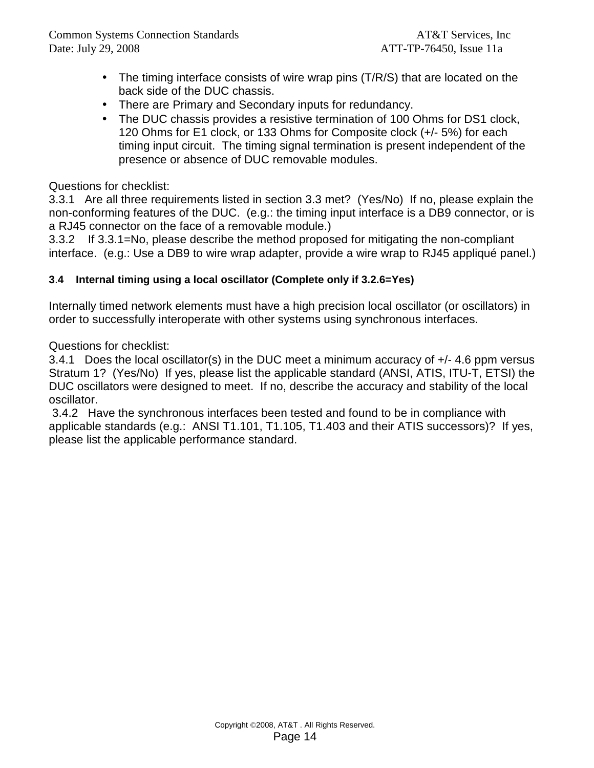- The timing interface consists of wire wrap pins (T/R/S) that are located on the back side of the DUC chassis.
- There are Primary and Secondary inputs for redundancy.
- The DUC chassis provides a resistive termination of 100 Ohms for DS1 clock, 120 Ohms for E1 clock, or 133 Ohms for Composite clock (+/- 5%) for each timing input circuit. The timing signal termination is present independent of the presence or absence of DUC removable modules.

#### Questions for checklist:

3.3.1 Are all three requirements listed in section 3.3 met? (Yes/No) If no, please explain the non-conforming features of the DUC. (e.g.: the timing input interface is a DB9 connector, or is a RJ45 connector on the face of a removable module.)

3.3.2 If 3.3.1=No, please describe the method proposed for mitigating the non-compliant interface. (e.g.: Use a DB9 to wire wrap adapter, provide a wire wrap to RJ45 appliqué panel.)

#### **3**.**4 Internal timing using a local oscillator (Complete only if 3.2.6=Yes)**

Internally timed network elements must have a high precision local oscillator (or oscillators) in order to successfully interoperate with other systems using synchronous interfaces.

Questions for checklist:

3.4.1 Does the local oscillator(s) in the DUC meet a minimum accuracy of +/- 4.6 ppm versus Stratum 1? (Yes/No) If yes, please list the applicable standard (ANSI, ATIS, ITU-T, ETSI) the DUC oscillators were designed to meet. If no, describe the accuracy and stability of the local oscillator.

 3.4.2 Have the synchronous interfaces been tested and found to be in compliance with applicable standards (e.g.: ANSI T1.101, T1.105, T1.403 and their ATIS successors)? If yes, please list the applicable performance standard.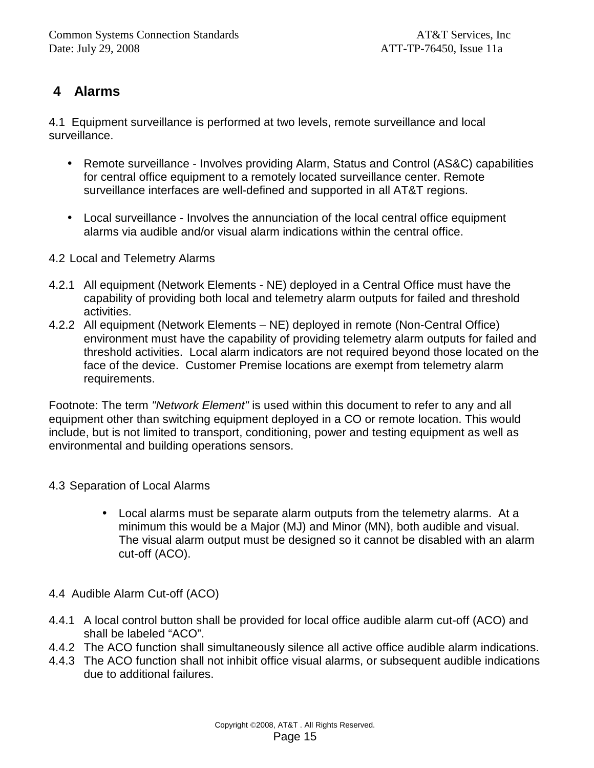# **4 Alarms**

4.1 Equipment surveillance is performed at two levels, remote surveillance and local surveillance.

- Remote surveillance Involves providing Alarm, Status and Control (AS&C) capabilities for central office equipment to a remotely located surveillance center. Remote surveillance interfaces are well-defined and supported in all AT&T regions.
- Local surveillance Involves the annunciation of the local central office equipment alarms via audible and/or visual alarm indications within the central office.
- 4.2 Local and Telemetry Alarms
- 4.2.1 All equipment (Network Elements NE) deployed in a Central Office must have the capability of providing both local and telemetry alarm outputs for failed and threshold activities.
- 4.2.2 All equipment (Network Elements NE) deployed in remote (Non-Central Office) environment must have the capability of providing telemetry alarm outputs for failed and threshold activities. Local alarm indicators are not required beyond those located on the face of the device. Customer Premise locations are exempt from telemetry alarm requirements.

Footnote: The term "Network Element" is used within this document to refer to any and all equipment other than switching equipment deployed in a CO or remote location. This would include, but is not limited to transport, conditioning, power and testing equipment as well as environmental and building operations sensors.

### 4.3 Separation of Local Alarms

- Local alarms must be separate alarm outputs from the telemetry alarms. At a minimum this would be a Major (MJ) and Minor (MN), both audible and visual. The visual alarm output must be designed so it cannot be disabled with an alarm cut-off (ACO).
- 4.4 Audible Alarm Cut-off (ACO)
- 4.4.1 A local control button shall be provided for local office audible alarm cut-off (ACO) and shall be labeled "ACO".
- 4.4.2 The ACO function shall simultaneously silence all active office audible alarm indications.
- 4.4.3 The ACO function shall not inhibit office visual alarms, or subsequent audible indications due to additional failures.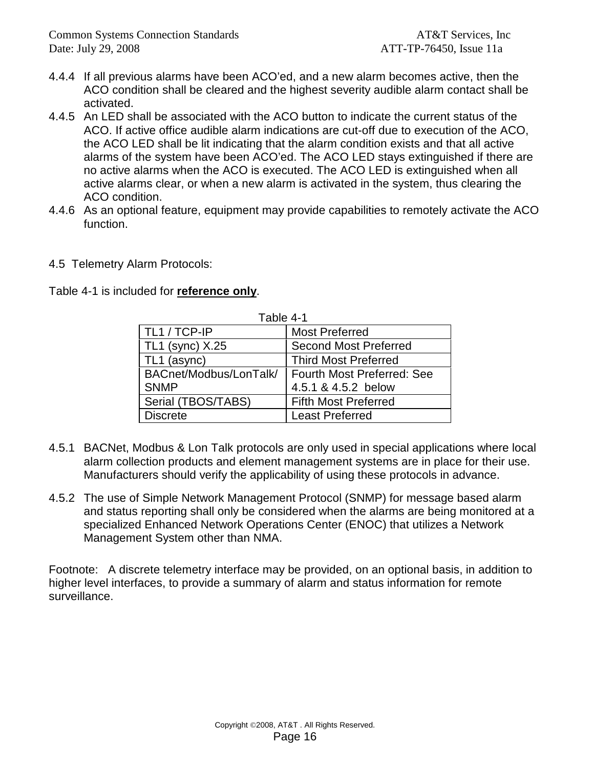- 4.4.4 If all previous alarms have been ACO'ed, and a new alarm becomes active, then the ACO condition shall be cleared and the highest severity audible alarm contact shall be activated.
- 4.4.5 An LED shall be associated with the ACO button to indicate the current status of the ACO. If active office audible alarm indications are cut-off due to execution of the ACO, the ACO LED shall be lit indicating that the alarm condition exists and that all active alarms of the system have been ACO'ed. The ACO LED stays extinguished if there are no active alarms when the ACO is executed. The ACO LED is extinguished when all active alarms clear, or when a new alarm is activated in the system, thus clearing the ACO condition.
- 4.4.6 As an optional feature, equipment may provide capabilities to remotely activate the ACO function.
- 4.5 Telemetry Alarm Protocols:

|  | Table 4-1 is included for reference only. |  |
|--|-------------------------------------------|--|
|  |                                           |  |

| Table 4-1              |                                   |
|------------------------|-----------------------------------|
| TL1 / TCP-IP           | <b>Most Preferred</b>             |
| TL1 (sync) X.25        | <b>Second Most Preferred</b>      |
| TL1 (async)            | <b>Third Most Preferred</b>       |
| BACnet/Modbus/LonTalk/ | <b>Fourth Most Preferred: See</b> |
| <b>SNMP</b>            | 4.5.1 & 4.5.2 below               |
| Serial (TBOS/TABS)     | <b>Fifth Most Preferred</b>       |
| <b>Discrete</b>        | <b>Least Preferred</b>            |

- 4.5.1 BACNet, Modbus & Lon Talk protocols are only used in special applications where local alarm collection products and element management systems are in place for their use. Manufacturers should verify the applicability of using these protocols in advance.
- 4.5.2 The use of Simple Network Management Protocol (SNMP) for message based alarm and status reporting shall only be considered when the alarms are being monitored at a specialized Enhanced Network Operations Center (ENOC) that utilizes a Network Management System other than NMA.

Footnote: A discrete telemetry interface may be provided, on an optional basis, in addition to higher level interfaces, to provide a summary of alarm and status information for remote surveillance.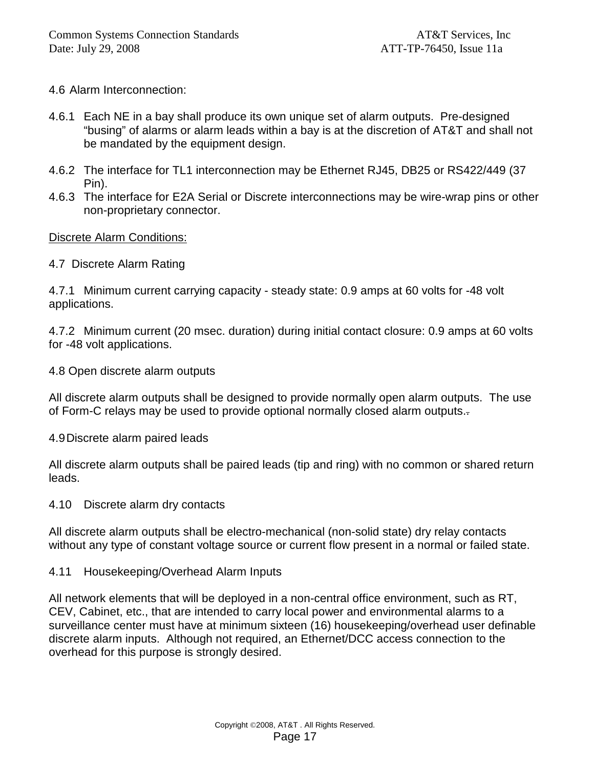#### 4.6 Alarm Interconnection:

- 4.6.1 Each NE in a bay shall produce its own unique set of alarm outputs. Pre-designed "busing" of alarms or alarm leads within a bay is at the discretion of AT&T and shall not be mandated by the equipment design.
- 4.6.2 The interface for TL1 interconnection may be Ethernet RJ45, DB25 or RS422/449 (37 Pin).
- 4.6.3 The interface for E2A Serial or Discrete interconnections may be wire-wrap pins or other non-proprietary connector.

#### Discrete Alarm Conditions:

#### 4.7 Discrete Alarm Rating

4.7.1 Minimum current carrying capacity - steady state: 0.9 amps at 60 volts for -48 volt applications.

4.7.2 Minimum current (20 msec. duration) during initial contact closure: 0.9 amps at 60 volts for -48 volt applications.

4.8 Open discrete alarm outputs

All discrete alarm outputs shall be designed to provide normally open alarm outputs. The use of Form-C relays may be used to provide optional normally closed alarm outputs..

4.9 Discrete alarm paired leads

All discrete alarm outputs shall be paired leads (tip and ring) with no common or shared return leads.

4.10 Discrete alarm dry contacts

All discrete alarm outputs shall be electro-mechanical (non-solid state) dry relay contacts without any type of constant voltage source or current flow present in a normal or failed state.

#### 4.11 Housekeeping/Overhead Alarm Inputs

All network elements that will be deployed in a non-central office environment, such as RT, CEV, Cabinet, etc., that are intended to carry local power and environmental alarms to a surveillance center must have at minimum sixteen (16) housekeeping/overhead user definable discrete alarm inputs. Although not required, an Ethernet/DCC access connection to the overhead for this purpose is strongly desired.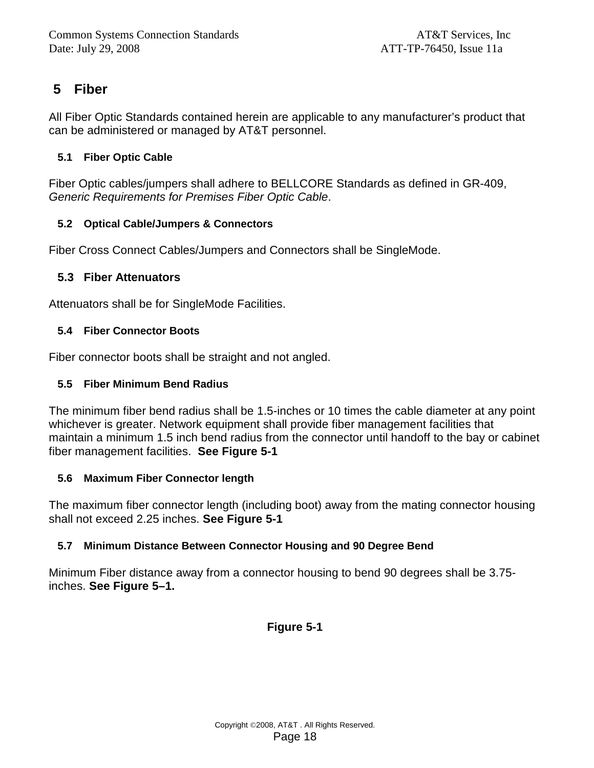# **5 Fiber**

All Fiber Optic Standards contained herein are applicable to any manufacturer's product that can be administered or managed by AT&T personnel.

#### **5.1 Fiber Optic Cable**

Fiber Optic cables/jumpers shall adhere to BELLCORE Standards as defined in GR-409, Generic Requirements for Premises Fiber Optic Cable.

#### **5.2 Optical Cable/Jumpers & Connectors**

Fiber Cross Connect Cables/Jumpers and Connectors shall be SingleMode.

### **5.3 Fiber Attenuators**

Attenuators shall be for SingleMode Facilities.

#### **5.4 Fiber Connector Boots**

Fiber connector boots shall be straight and not angled.

#### **5.5 Fiber Minimum Bend Radius**

The minimum fiber bend radius shall be 1.5-inches or 10 times the cable diameter at any point whichever is greater. Network equipment shall provide fiber management facilities that maintain a minimum 1.5 inch bend radius from the connector until handoff to the bay or cabinet fiber management facilities. **See Figure 5-1** 

#### **5.6 Maximum Fiber Connector length**

The maximum fiber connector length (including boot) away from the mating connector housing shall not exceed 2.25 inches. **See Figure 5-1** 

### **5.7 Minimum Distance Between Connector Housing and 90 Degree Bend**

Minimum Fiber distance away from a connector housing to bend 90 degrees shall be 3.75 inches. **See Figure 5–1.**

### **Figure 5-1**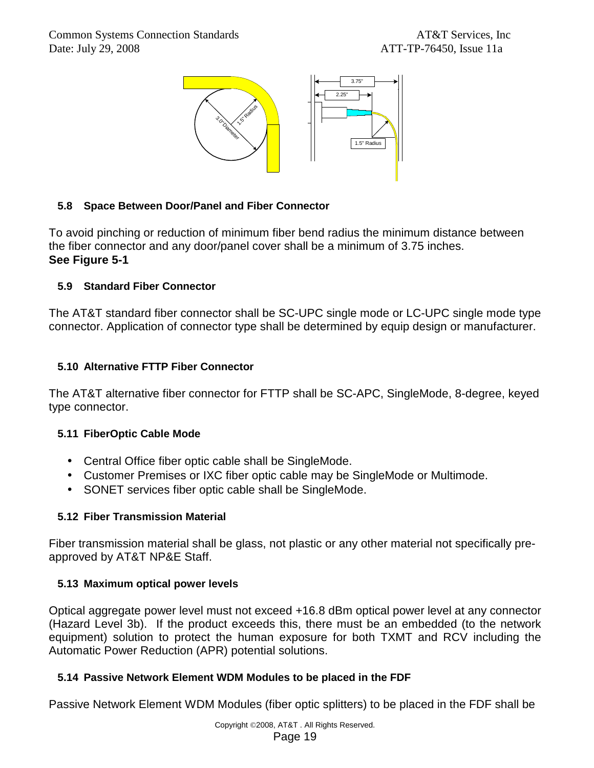

### **5.8 Space Between Door/Panel and Fiber Connector**

To avoid pinching or reduction of minimum fiber bend radius the minimum distance between the fiber connector and any door/panel cover shall be a minimum of 3.75 inches. **See Figure 5-1** 

### **5.9 Standard Fiber Connector**

The AT&T standard fiber connector shall be SC-UPC single mode or LC-UPC single mode type connector. Application of connector type shall be determined by equip design or manufacturer.

### **5.10 Alternative FTTP Fiber Connector**

The AT&T alternative fiber connector for FTTP shall be SC-APC, SingleMode, 8-degree, keyed type connector.

### **5.11 FiberOptic Cable Mode**

- Central Office fiber optic cable shall be SingleMode.
- Customer Premises or IXC fiber optic cable may be SingleMode or Multimode.
- SONET services fiber optic cable shall be SingleMode.

### **5.12 Fiber Transmission Material**

Fiber transmission material shall be glass, not plastic or any other material not specifically preapproved by AT&T NP&E Staff.

### **5.13 Maximum optical power levels**

Optical aggregate power level must not exceed +16.8 dBm optical power level at any connector (Hazard Level 3b). If the product exceeds this, there must be an embedded (to the network equipment) solution to protect the human exposure for both TXMT and RCV including the Automatic Power Reduction (APR) potential solutions.

### **5.14 Passive Network Element WDM Modules to be placed in the FDF**

Passive Network Element WDM Modules (fiber optic splitters) to be placed in the FDF shall be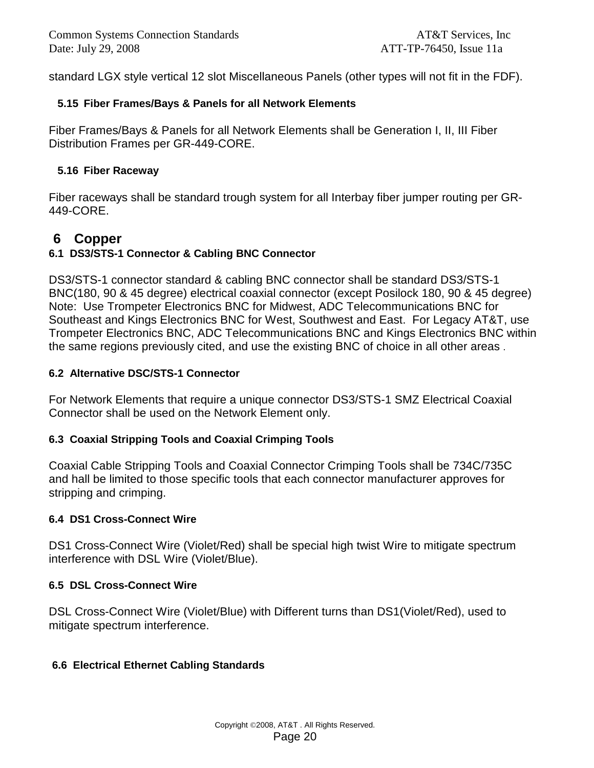standard LGX style vertical 12 slot Miscellaneous Panels (other types will not fit in the FDF).

#### **5.15 Fiber Frames/Bays & Panels for all Network Elements**

Fiber Frames/Bays & Panels for all Network Elements shall be Generation I, II, III Fiber Distribution Frames per GR-449-CORE.

#### **5.16 Fiber Raceway**

Fiber raceways shall be standard trough system for all Interbay fiber jumper routing per GR-449-CORE.

### **6 Copper**

### **6.1 DS3/STS-1 Connector & Cabling BNC Connector**

DS3/STS-1 connector standard & cabling BNC connector shall be standard DS3/STS-1 BNC(180, 90 & 45 degree) electrical coaxial connector (except Posilock 180, 90 & 45 degree) Note: Use Trompeter Electronics BNC for Midwest, ADC Telecommunications BNC for Southeast and Kings Electronics BNC for West, Southwest and East. For Legacy AT&T, use Trompeter Electronics BNC, ADC Telecommunications BNC and Kings Electronics BNC within the same regions previously cited, and use the existing BNC of choice in all other areas .

#### **6.2 Alternative DSC/STS-1 Connector**

For Network Elements that require a unique connector DS3/STS-1 SMZ Electrical Coaxial Connector shall be used on the Network Element only.

#### **6.3 Coaxial Stripping Tools and Coaxial Crimping Tools**

Coaxial Cable Stripping Tools and Coaxial Connector Crimping Tools shall be 734C/735C and hall be limited to those specific tools that each connector manufacturer approves for stripping and crimping.

#### **6.4 DS1 Cross-Connect Wire**

DS1 Cross-Connect Wire (Violet/Red) shall be special high twist Wire to mitigate spectrum interference with DSL Wire (Violet/Blue).

#### **6.5 DSL Cross-Connect Wire**

DSL Cross-Connect Wire (Violet/Blue) with Different turns than DS1(Violet/Red), used to mitigate spectrum interference.

### **6.6 Electrical Ethernet Cabling Standards**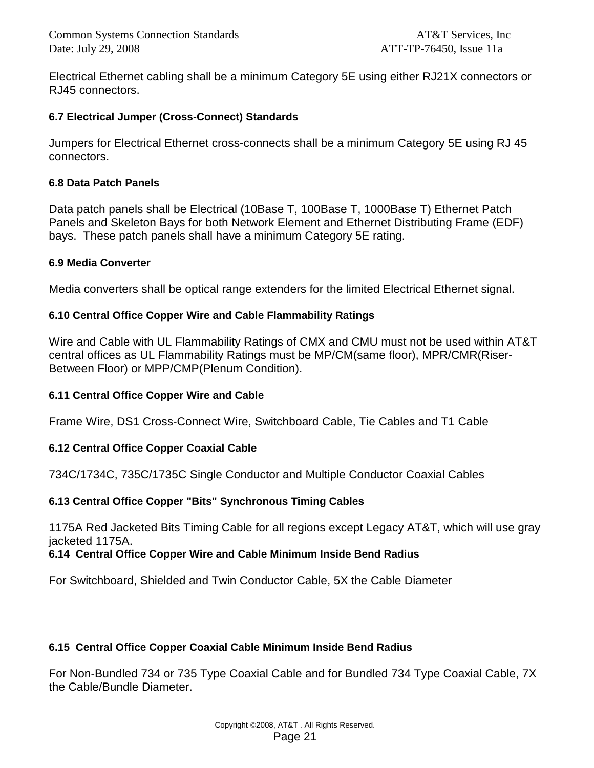Electrical Ethernet cabling shall be a minimum Category 5E using either RJ21X connectors or RJ45 connectors.

#### **6.7 Electrical Jumper (Cross-Connect) Standards**

Jumpers for Electrical Ethernet cross-connects shall be a minimum Category 5E using RJ 45 connectors.

#### **6.8 Data Patch Panels**

Data patch panels shall be Electrical (10Base T, 100Base T, 1000Base T) Ethernet Patch Panels and Skeleton Bays for both Network Element and Ethernet Distributing Frame (EDF) bays. These patch panels shall have a minimum Category 5E rating.

#### **6.9 Media Converter**

Media converters shall be optical range extenders for the limited Electrical Ethernet signal.

#### **6.10 Central Office Copper Wire and Cable Flammability Ratings**

Wire and Cable with UL Flammability Ratings of CMX and CMU must not be used within AT&T central offices as UL Flammability Ratings must be MP/CM(same floor), MPR/CMR(Riser-Between Floor) or MPP/CMP(Plenum Condition).

#### **6.11 Central Office Copper Wire and Cable**

Frame Wire, DS1 Cross-Connect Wire, Switchboard Cable, Tie Cables and T1 Cable

#### **6.12 Central Office Copper Coaxial Cable**

734C/1734C, 735C/1735C Single Conductor and Multiple Conductor Coaxial Cables

#### **6.13 Central Office Copper "Bits" Synchronous Timing Cables**

1175A Red Jacketed Bits Timing Cable for all regions except Legacy AT&T, which will use gray jacketed 1175A.

#### **6.14 Central Office Copper Wire and Cable Minimum Inside Bend Radius**

For Switchboard, Shielded and Twin Conductor Cable, 5X the Cable Diameter

#### **6.15 Central Office Copper Coaxial Cable Minimum Inside Bend Radius**

For Non-Bundled 734 or 735 Type Coaxial Cable and for Bundled 734 Type Coaxial Cable, 7X the Cable/Bundle Diameter.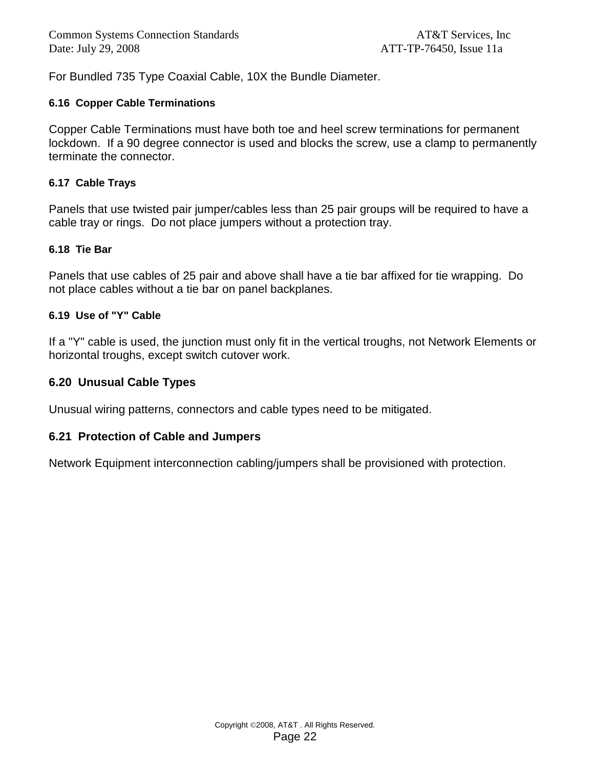For Bundled 735 Type Coaxial Cable, 10X the Bundle Diameter.

#### **6.16 Copper Cable Terminations**

Copper Cable Terminations must have both toe and heel screw terminations for permanent lockdown. If a 90 degree connector is used and blocks the screw, use a clamp to permanently terminate the connector.

#### **6.17 Cable Trays**

Panels that use twisted pair jumper/cables less than 25 pair groups will be required to have a cable tray or rings. Do not place jumpers without a protection tray.

#### **6.18 Tie Bar**

Panels that use cables of 25 pair and above shall have a tie bar affixed for tie wrapping. Do not place cables without a tie bar on panel backplanes.

#### **6.19 Use of "Y" Cable**

If a "Y" cable is used, the junction must only fit in the vertical troughs, not Network Elements or horizontal troughs, except switch cutover work.

#### **6.20 Unusual Cable Types**

Unusual wiring patterns, connectors and cable types need to be mitigated.

#### **6.21 Protection of Cable and Jumpers**

Network Equipment interconnection cabling/jumpers shall be provisioned with protection.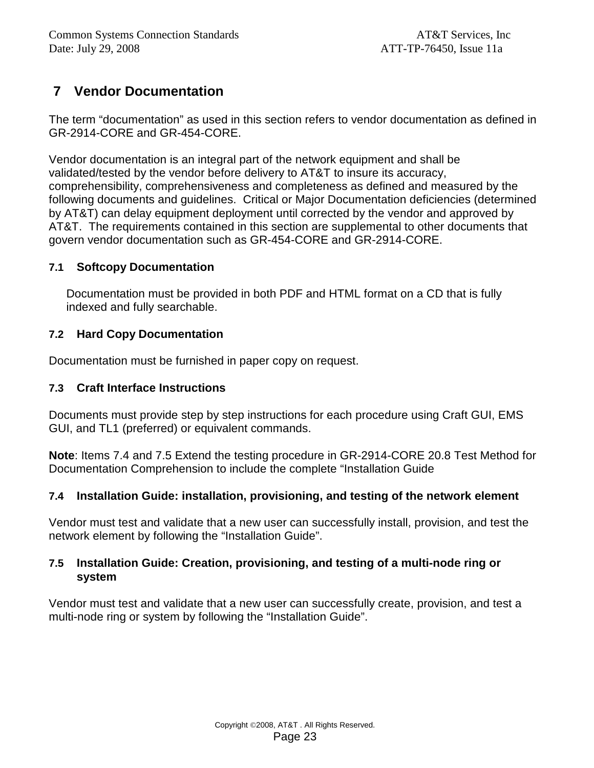# **7 Vendor Documentation**

The term "documentation" as used in this section refers to vendor documentation as defined in GR-2914-CORE and GR-454-CORE.

Vendor documentation is an integral part of the network equipment and shall be validated/tested by the vendor before delivery to AT&T to insure its accuracy, comprehensibility, comprehensiveness and completeness as defined and measured by the following documents and guidelines. Critical or Major Documentation deficiencies (determined by AT&T) can delay equipment deployment until corrected by the vendor and approved by AT&T. The requirements contained in this section are supplemental to other documents that govern vendor documentation such as GR-454-CORE and GR-2914-CORE.

#### **7.1 Softcopy Documentation**

Documentation must be provided in both PDF and HTML format on a CD that is fully indexed and fully searchable.

### **7.2 Hard Copy Documentation**

Documentation must be furnished in paper copy on request.

#### **7.3 Craft Interface Instructions**

Documents must provide step by step instructions for each procedure using Craft GUI, EMS GUI, and TL1 (preferred) or equivalent commands.

**Note**: Items 7.4 and 7.5 Extend the testing procedure in GR-2914-CORE 20.8 Test Method for Documentation Comprehension to include the complete "Installation Guide

### **7.4 Installation Guide: installation, provisioning, and testing of the network element**

Vendor must test and validate that a new user can successfully install, provision, and test the network element by following the "Installation Guide".

#### **7.5 Installation Guide: Creation, provisioning, and testing of a multi-node ring or system**

Vendor must test and validate that a new user can successfully create, provision, and test a multi-node ring or system by following the "Installation Guide".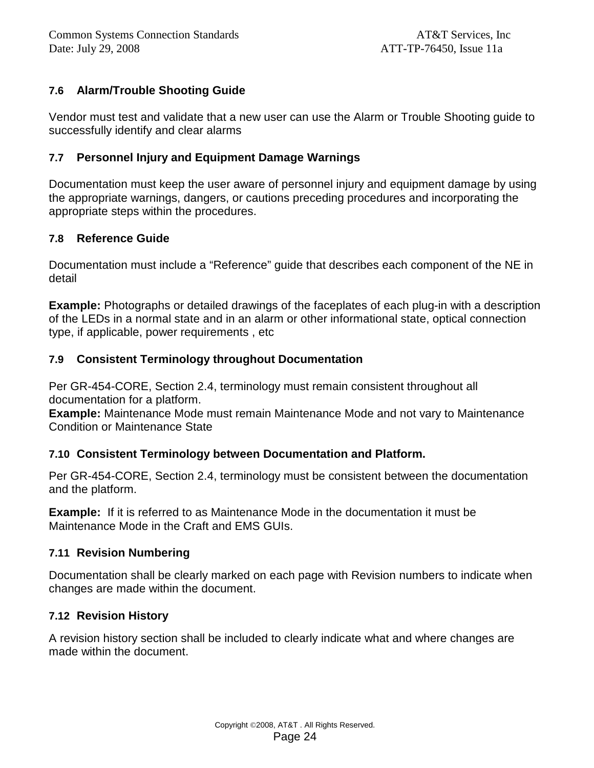### **7.6 Alarm/Trouble Shooting Guide**

Vendor must test and validate that a new user can use the Alarm or Trouble Shooting guide to successfully identify and clear alarms

#### **7.7 Personnel Injury and Equipment Damage Warnings**

Documentation must keep the user aware of personnel injury and equipment damage by using the appropriate warnings, dangers, or cautions preceding procedures and incorporating the appropriate steps within the procedures.

#### **7.8 Reference Guide**

Documentation must include a "Reference" guide that describes each component of the NE in detail

**Example:** Photographs or detailed drawings of the faceplates of each plug-in with a description of the LEDs in a normal state and in an alarm or other informational state, optical connection type, if applicable, power requirements , etc

### **7.9 Consistent Terminology throughout Documentation**

Per GR-454-CORE, Section 2.4, terminology must remain consistent throughout all documentation for a platform.

**Example:** Maintenance Mode must remain Maintenance Mode and not vary to Maintenance Condition or Maintenance State

### **7.10 Consistent Terminology between Documentation and Platform.**

Per GR-454-CORE, Section 2.4, terminology must be consistent between the documentation and the platform.

**Example:** If it is referred to as Maintenance Mode in the documentation it must be Maintenance Mode in the Craft and EMS GUIs.

#### **7.11 Revision Numbering**

Documentation shall be clearly marked on each page with Revision numbers to indicate when changes are made within the document.

### **7.12 Revision History**

A revision history section shall be included to clearly indicate what and where changes are made within the document.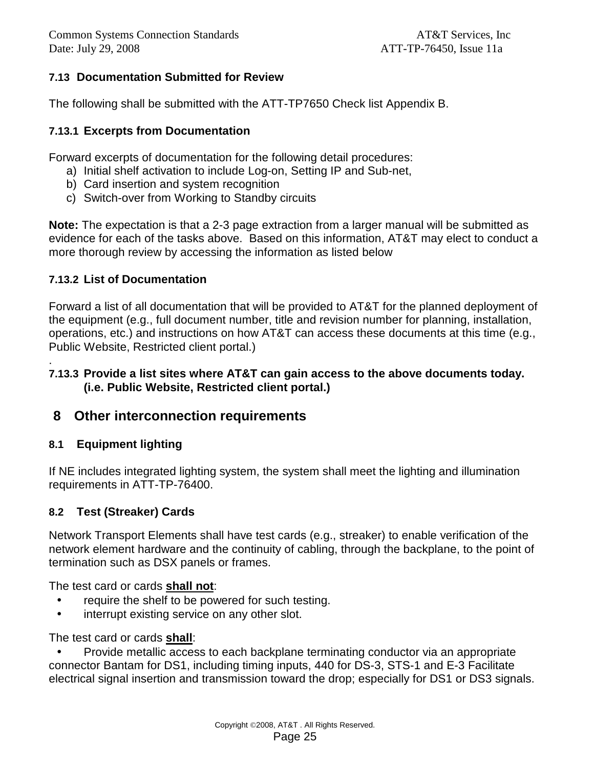### **7.13 Documentation Submitted for Review**

The following shall be submitted with the ATT-TP7650 Check list Appendix B.

### **7.13.1 Excerpts from Documentation**

Forward excerpts of documentation for the following detail procedures:

- a) Initial shelf activation to include Log-on, Setting IP and Sub-net,
- b) Card insertion and system recognition
- c) Switch-over from Working to Standby circuits

**Note:** The expectation is that a 2-3 page extraction from a larger manual will be submitted as evidence for each of the tasks above. Based on this information, AT&T may elect to conduct a more thorough review by accessing the information as listed below

#### **7.13.2 List of Documentation**

Forward a list of all documentation that will be provided to AT&T for the planned deployment of the equipment (e.g., full document number, title and revision number for planning, installation, operations, etc.) and instructions on how AT&T can access these documents at this time (e.g., Public Website, Restricted client portal.)

#### **7.13.3 Provide a list sites where AT&T can gain access to the above documents today. (i.e. Public Website, Restricted client portal.)**

### **8 Other interconnection requirements**

### **8.1 Equipment lighting**

.

If NE includes integrated lighting system, the system shall meet the lighting and illumination requirements in ATT-TP-76400.

### **8.2 Test (Streaker) Cards**

Network Transport Elements shall have test cards (e.g., streaker) to enable verification of the network element hardware and the continuity of cabling, through the backplane, to the point of termination such as DSX panels or frames.

The test card or cards **shall not**:

- require the shelf to be powered for such testing.
- interrupt existing service on any other slot.

The test card or cards **shall**:

• Provide metallic access to each backplane terminating conductor via an appropriate connector Bantam for DS1, including timing inputs, 440 for DS-3, STS-1 and E-3 Facilitate electrical signal insertion and transmission toward the drop; especially for DS1 or DS3 signals.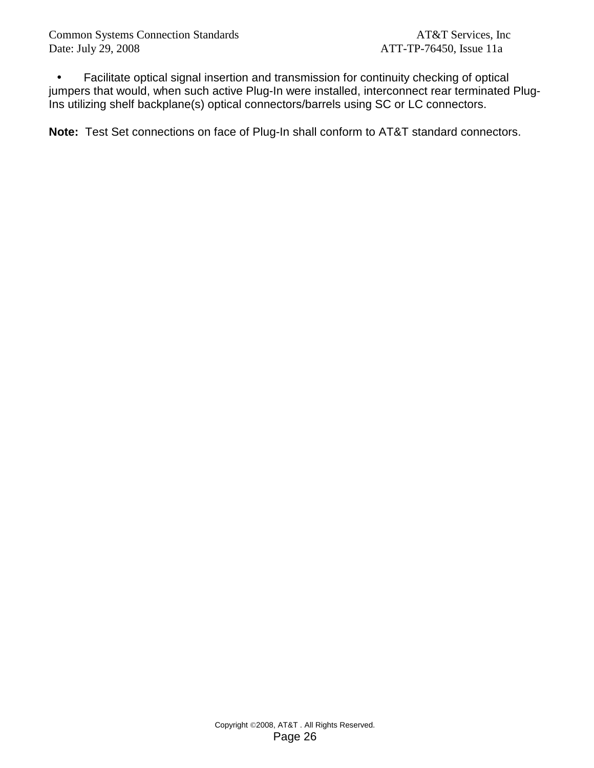• Facilitate optical signal insertion and transmission for continuity checking of optical jumpers that would, when such active Plug-In were installed, interconnect rear terminated Plug-Ins utilizing shelf backplane(s) optical connectors/barrels using SC or LC connectors.

**Note:** Test Set connections on face of Plug-In shall conform to AT&T standard connectors.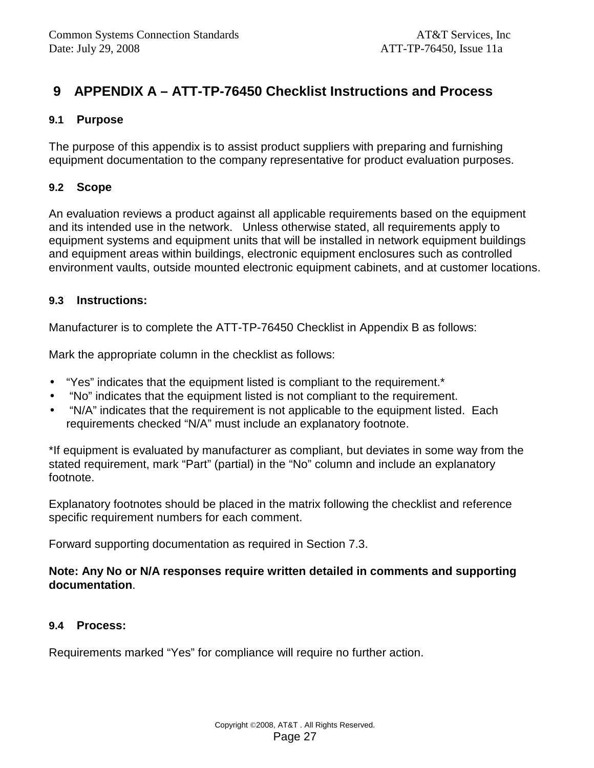# **9 APPENDIX A – ATT-TP-76450 Checklist Instructions and Process**

### **9.1 Purpose**

The purpose of this appendix is to assist product suppliers with preparing and furnishing equipment documentation to the company representative for product evaluation purposes.

### **9.2 Scope**

An evaluation reviews a product against all applicable requirements based on the equipment and its intended use in the network. Unless otherwise stated, all requirements apply to equipment systems and equipment units that will be installed in network equipment buildings and equipment areas within buildings, electronic equipment enclosures such as controlled environment vaults, outside mounted electronic equipment cabinets, and at customer locations.

### **9.3 Instructions:**

Manufacturer is to complete the ATT-TP-76450 Checklist in Appendix B as follows:

Mark the appropriate column in the checklist as follows:

- "Yes" indicates that the equipment listed is compliant to the requirement.\*
- "No" indicates that the equipment listed is not compliant to the requirement.
- "N/A" indicates that the requirement is not applicable to the equipment listed. Each requirements checked "N/A" must include an explanatory footnote.

\*If equipment is evaluated by manufacturer as compliant, but deviates in some way from the stated requirement, mark "Part" (partial) in the "No" column and include an explanatory footnote.

Explanatory footnotes should be placed in the matrix following the checklist and reference specific requirement numbers for each comment.

Forward supporting documentation as required in Section 7.3.

### **Note: Any No or N/A responses require written detailed in comments and supporting documentation**.

### **9.4 Process:**

Requirements marked "Yes" for compliance will require no further action.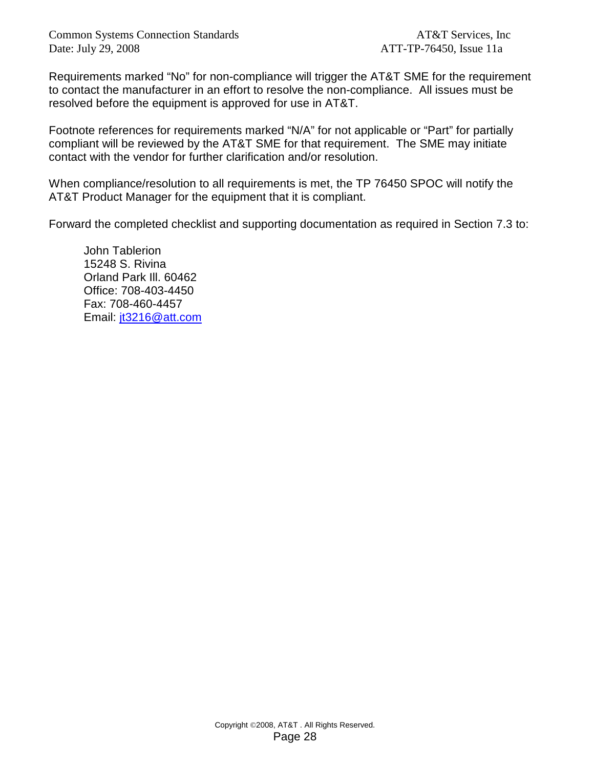Requirements marked "No" for non-compliance will trigger the AT&T SME for the requirement to contact the manufacturer in an effort to resolve the non-compliance. All issues must be resolved before the equipment is approved for use in AT&T.

Footnote references for requirements marked "N/A" for not applicable or "Part" for partially compliant will be reviewed by the AT&T SME for that requirement. The SME may initiate contact with the vendor for further clarification and/or resolution.

When compliance/resolution to all requirements is met, the TP 76450 SPOC will notify the AT&T Product Manager for the equipment that it is compliant.

Forward the completed checklist and supporting documentation as required in Section 7.3 to:

John Tablerion 15248 S. Rivina Orland Park Ill. 60462 Office: 708-403-4450 Fax: 708-460-4457 Email: jt3216@att.com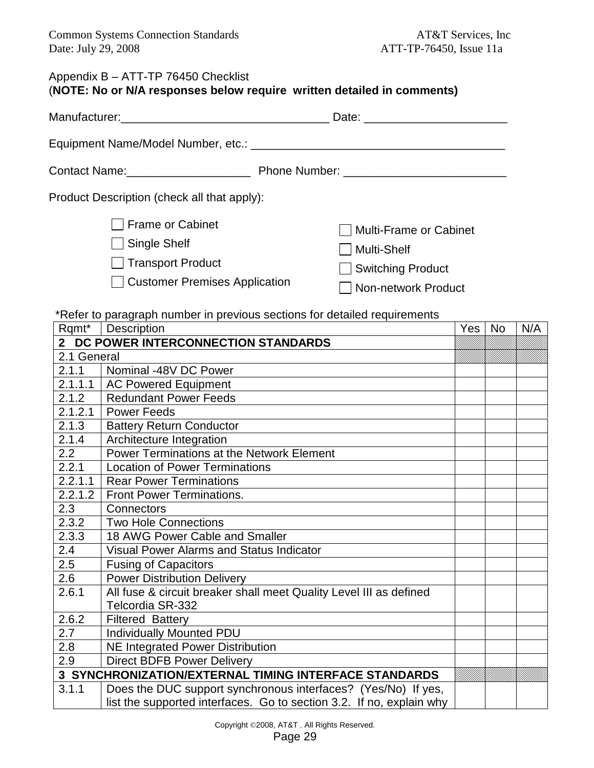# Appendix B – ATT-TP 76450 Checklist

|  | (NOTE: No or N/A responses below require written detailed in comments) |  |  |
|--|------------------------------------------------------------------------|--|--|
|  |                                                                        |  |  |

| Product Description (check all that apply):                                                              |                                                                                            |  |  |  |  |
|----------------------------------------------------------------------------------------------------------|--------------------------------------------------------------------------------------------|--|--|--|--|
| □ Frame or Cabinet<br>□ Single Shelf<br>$\Box$ Transport Product<br><b>Customer Premises Application</b> | Multi-Frame or Cabinet<br>  Multi-Shelf<br>Switching Product<br><b>Non-network Product</b> |  |  |  |  |

\*Refer to paragraph number in previous sections for detailed requirements

| Rqmt*       | <b>Description</b>                                                   | Yes | <b>No</b> | N/A |
|-------------|----------------------------------------------------------------------|-----|-----------|-----|
|             | 2 DC POWER INTERCONNECTION STANDARDS                                 |     |           |     |
| 2.1 General |                                                                      |     |           |     |
| 2.1.1       | Nominal -48V DC Power                                                |     |           |     |
| 2.1.1.1     | <b>AC Powered Equipment</b>                                          |     |           |     |
| 2.1.2       | <b>Redundant Power Feeds</b>                                         |     |           |     |
| 2.1.2.1     | <b>Power Feeds</b>                                                   |     |           |     |
| 2.1.3       | <b>Battery Return Conductor</b>                                      |     |           |     |
| 2.1.4       | Architecture Integration                                             |     |           |     |
| 2.2         | <b>Power Terminations at the Network Element</b>                     |     |           |     |
| 2.2.1       | <b>Location of Power Terminations</b>                                |     |           |     |
| 2.2.1.1     | <b>Rear Power Terminations</b>                                       |     |           |     |
| 2.2.1.2     | <b>Front Power Terminations.</b>                                     |     |           |     |
| 2.3         | Connectors                                                           |     |           |     |
| 2.3.2       | <b>Two Hole Connections</b>                                          |     |           |     |
| 2.3.3       | 18 AWG Power Cable and Smaller                                       |     |           |     |
| 2.4         | <b>Visual Power Alarms and Status Indicator</b>                      |     |           |     |
| 2.5         | <b>Fusing of Capacitors</b>                                          |     |           |     |
| 2.6         | <b>Power Distribution Delivery</b>                                   |     |           |     |
| 2.6.1       | All fuse & circuit breaker shall meet Quality Level III as defined   |     |           |     |
|             | Telcordia SR-332                                                     |     |           |     |
| 2.6.2       | <b>Filtered Battery</b>                                              |     |           |     |
| 2.7         | <b>Individually Mounted PDU</b>                                      |     |           |     |
| 2.8         | <b>NE Integrated Power Distribution</b>                              |     |           |     |
| 2.9         | <b>Direct BDFB Power Delivery</b>                                    |     |           |     |
|             | 3 SYNCHRONIZATION/EXTERNAL TIMING INTERFACE STANDARDS                |     |           |     |
| 3.1.1       | Does the DUC support synchronous interfaces? (Yes/No) If yes,        |     |           |     |
|             | list the supported interfaces. Go to section 3.2. If no, explain why |     |           |     |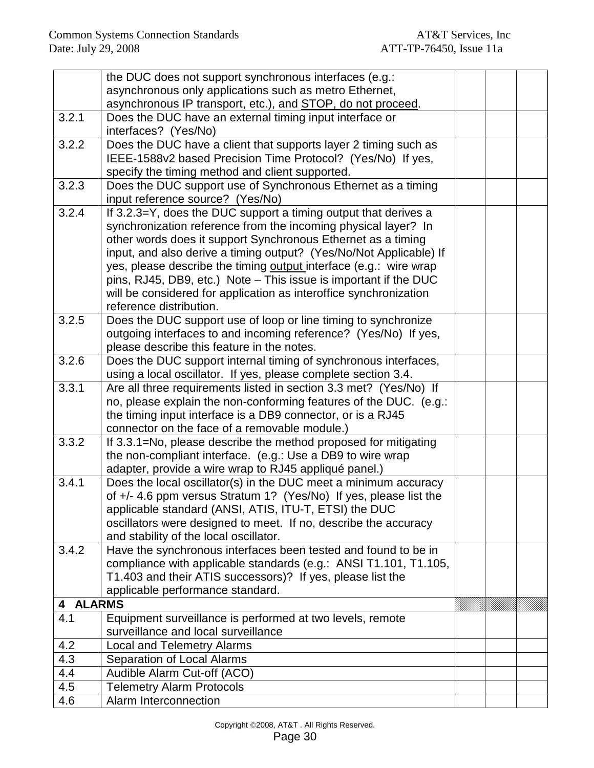|          | the DUC does not support synchronous interfaces (e.g.:             |  |  |
|----------|--------------------------------------------------------------------|--|--|
|          | asynchronous only applications such as metro Ethernet,             |  |  |
|          | asynchronous IP transport, etc.), and STOP, do not proceed.        |  |  |
| 3.2.1    | Does the DUC have an external timing input interface or            |  |  |
|          | interfaces? (Yes/No)                                               |  |  |
| 3.2.2    | Does the DUC have a client that supports layer 2 timing such as    |  |  |
|          | IEEE-1588v2 based Precision Time Protocol? (Yes/No) If yes,        |  |  |
|          | specify the timing method and client supported.                    |  |  |
| 3.2.3    | Does the DUC support use of Synchronous Ethernet as a timing       |  |  |
|          | input reference source? (Yes/No)                                   |  |  |
| 3.2.4    | If 3.2.3=Y, does the DUC support a timing output that derives a    |  |  |
|          | synchronization reference from the incoming physical layer? In     |  |  |
|          | other words does it support Synchronous Ethernet as a timing       |  |  |
|          | input, and also derive a timing output? (Yes/No/Not Applicable) If |  |  |
|          | yes, please describe the timing output interface (e.g.: wire wrap  |  |  |
|          | pins, RJ45, DB9, etc.) Note - This issue is important if the DUC   |  |  |
|          | will be considered for application as interoffice synchronization  |  |  |
|          | reference distribution.                                            |  |  |
| 3.2.5    | Does the DUC support use of loop or line timing to synchronize     |  |  |
|          | outgoing interfaces to and incoming reference? (Yes/No) If yes,    |  |  |
|          | please describe this feature in the notes.                         |  |  |
| 3.2.6    | Does the DUC support internal timing of synchronous interfaces,    |  |  |
|          | using a local oscillator. If yes, please complete section 3.4.     |  |  |
| 3.3.1    | Are all three requirements listed in section 3.3 met? (Yes/No) If  |  |  |
|          | no, please explain the non-conforming features of the DUC. (e.g.:  |  |  |
|          | the timing input interface is a DB9 connector, or is a RJ45        |  |  |
|          | connector on the face of a removable module.)                      |  |  |
| 3.3.2    | If 3.3.1=No, please describe the method proposed for mitigating    |  |  |
|          | the non-compliant interface. (e.g.: Use a DB9 to wire wrap         |  |  |
|          | adapter, provide a wire wrap to RJ45 appliqué panel.)              |  |  |
| 3.4.1    | Does the local oscillator(s) in the DUC meet a minimum accuracy    |  |  |
|          | of +/- 4.6 ppm versus Stratum 1? (Yes/No) If yes, please list the  |  |  |
|          | applicable standard (ANSI, ATIS, ITU-T, ETSI) the DUC              |  |  |
|          | oscillators were designed to meet. If no, describe the accuracy    |  |  |
|          | and stability of the local oscillator.                             |  |  |
| 3.4.2    | Have the synchronous interfaces been tested and found to be in     |  |  |
|          | compliance with applicable standards (e.g.: ANSI T1.101, T1.105,   |  |  |
|          | T1.403 and their ATIS successors)? If yes, please list the         |  |  |
|          | applicable performance standard.                                   |  |  |
| 4 ALARMS |                                                                    |  |  |
| 4.1      | Equipment surveillance is performed at two levels, remote          |  |  |
|          | surveillance and local surveillance                                |  |  |
| 4.2      | <b>Local and Telemetry Alarms</b>                                  |  |  |
| 4.3      | Separation of Local Alarms                                         |  |  |
| 4.4      | Audible Alarm Cut-off (ACO)                                        |  |  |
| 4.5      | <b>Telemetry Alarm Protocols</b>                                   |  |  |
| 4.6      | Alarm Interconnection                                              |  |  |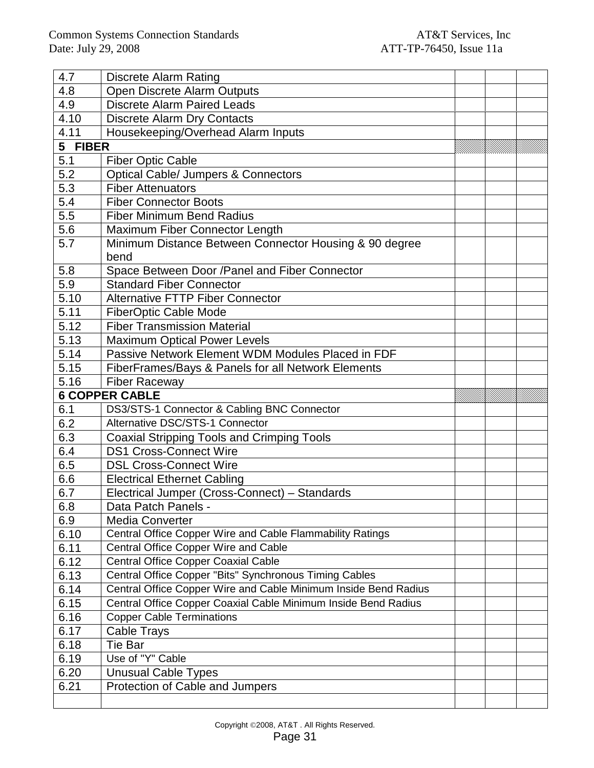| 4.7     | <b>Discrete Alarm Rating</b>                                    |  |  |
|---------|-----------------------------------------------------------------|--|--|
| 4.8     | Open Discrete Alarm Outputs                                     |  |  |
| 4.9     | <b>Discrete Alarm Paired Leads</b>                              |  |  |
| 4.10    | <b>Discrete Alarm Dry Contacts</b>                              |  |  |
| 4.11    | Housekeeping/Overhead Alarm Inputs                              |  |  |
| 5 FIBER |                                                                 |  |  |
| 5.1     | <b>Fiber Optic Cable</b>                                        |  |  |
| 5.2     | <b>Optical Cable/ Jumpers &amp; Connectors</b>                  |  |  |
| 5.3     | <b>Fiber Attenuators</b>                                        |  |  |
| 5.4     | <b>Fiber Connector Boots</b>                                    |  |  |
| 5.5     | <b>Fiber Minimum Bend Radius</b>                                |  |  |
| 5.6     | Maximum Fiber Connector Length                                  |  |  |
| 5.7     | Minimum Distance Between Connector Housing & 90 degree          |  |  |
|         | bend                                                            |  |  |
| 5.8     | Space Between Door /Panel and Fiber Connector                   |  |  |
| 5.9     | <b>Standard Fiber Connector</b>                                 |  |  |
| 5.10    | <b>Alternative FTTP Fiber Connector</b>                         |  |  |
| 5.11    | <b>FiberOptic Cable Mode</b>                                    |  |  |
| 5.12    | <b>Fiber Transmission Material</b>                              |  |  |
| 5.13    | <b>Maximum Optical Power Levels</b>                             |  |  |
| 5.14    | Passive Network Element WDM Modules Placed in FDF               |  |  |
| 5.15    | FiberFrames/Bays & Panels for all Network Elements              |  |  |
| 5.16    | <b>Fiber Raceway</b>                                            |  |  |
|         |                                                                 |  |  |
|         | <b>6 COPPER CABLE</b>                                           |  |  |
| 6.1     | DS3/STS-1 Connector & Cabling BNC Connector                     |  |  |
| 6.2     | Alternative DSC/STS-1 Connector                                 |  |  |
| 6.3     | <b>Coaxial Stripping Tools and Crimping Tools</b>               |  |  |
| 6.4     | <b>DS1 Cross-Connect Wire</b>                                   |  |  |
| 6.5     | <b>DSL Cross-Connect Wire</b>                                   |  |  |
| 6.6     | <b>Electrical Ethernet Cabling</b>                              |  |  |
| 6.7     | Electrical Jumper (Cross-Connect) - Standards                   |  |  |
| 6.8     | Data Patch Panels -                                             |  |  |
| 6.9     | <b>Media Converter</b>                                          |  |  |
| 6.10    | Central Office Copper Wire and Cable Flammability Ratings       |  |  |
| 6.11    | Central Office Copper Wire and Cable                            |  |  |
| 6.12    | <b>Central Office Copper Coaxial Cable</b>                      |  |  |
| 6.13    | Central Office Copper "Bits" Synchronous Timing Cables          |  |  |
| 6.14    | Central Office Copper Wire and Cable Minimum Inside Bend Radius |  |  |
| 6.15    | Central Office Copper Coaxial Cable Minimum Inside Bend Radius  |  |  |
| 6.16    | <b>Copper Cable Terminations</b>                                |  |  |
| 6.17    | Cable Trays                                                     |  |  |
| 6.18    | Tie Bar                                                         |  |  |
| 6.19    | Use of "Y" Cable                                                |  |  |
| 6.20    | <b>Unusual Cable Types</b>                                      |  |  |
| 6.21    | Protection of Cable and Jumpers                                 |  |  |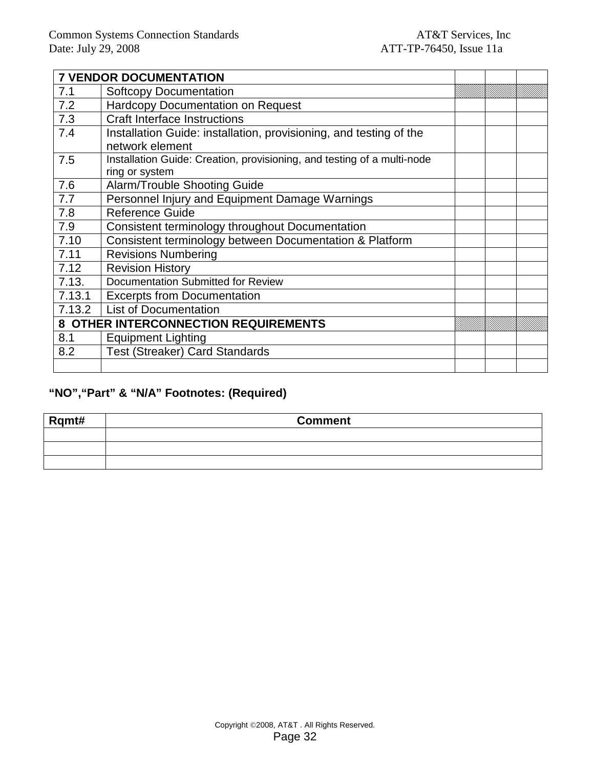|        | <b>7 VENDOR DOCUMENTATION</b>                                           |  |  |
|--------|-------------------------------------------------------------------------|--|--|
| 7.1    | <b>Softcopy Documentation</b>                                           |  |  |
| 7.2    | <b>Hardcopy Documentation on Request</b>                                |  |  |
| 7.3    | <b>Craft Interface Instructions</b>                                     |  |  |
| 7.4    | Installation Guide: installation, provisioning, and testing of the      |  |  |
|        | network element                                                         |  |  |
| 7.5    | Installation Guide: Creation, provisioning, and testing of a multi-node |  |  |
|        | ring or system                                                          |  |  |
| 7.6    | Alarm/Trouble Shooting Guide                                            |  |  |
| 7.7    | Personnel Injury and Equipment Damage Warnings                          |  |  |
| 7.8    | <b>Reference Guide</b>                                                  |  |  |
| 7.9    | Consistent terminology throughout Documentation                         |  |  |
| 7.10   | Consistent terminology between Documentation & Platform                 |  |  |
| 7.11   | <b>Revisions Numbering</b>                                              |  |  |
| 7.12   | <b>Revision History</b>                                                 |  |  |
| 7.13.  | Documentation Submitted for Review                                      |  |  |
| 7.13.1 | <b>Excerpts from Documentation</b>                                      |  |  |
| 7.13.2 | <b>List of Documentation</b>                                            |  |  |
|        | 8 OTHER INTERCONNECTION REQUIREMENTS                                    |  |  |
| 8.1    | <b>Equipment Lighting</b>                                               |  |  |
| 8.2    | <b>Test (Streaker) Card Standards</b>                                   |  |  |
|        |                                                                         |  |  |

# **"NO","Part" & "N/A" Footnotes: (Required)**

| Rqmt# | <b>Comment</b> |
|-------|----------------|
|       |                |
|       |                |
|       |                |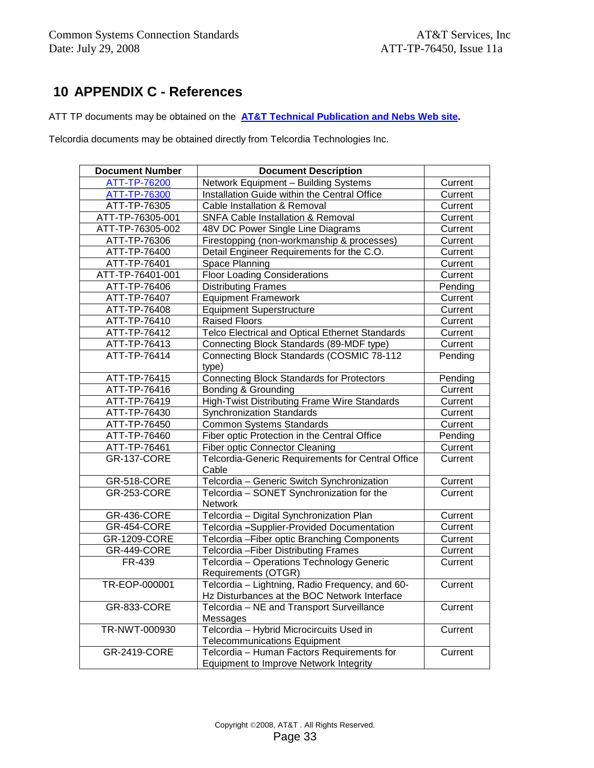# **10 APPENDIX C - References**

ATT TP documents may be obtained on the **AT&T Technical Publication and Nebs Web site.**

Telcordia documents may be obtained directly from Telcordia Technologies Inc.

| <b>Document Number</b> | <b>Document Description</b>                                            |         |
|------------------------|------------------------------------------------------------------------|---------|
| ATT-TP-76200           | Network Equipment - Building Systems                                   | Current |
| ATT-TP-76300           | Installation Guide within the Central Office                           | Current |
| ATT-TP-76305           | Cable Installation & Removal                                           | Current |
| ATT-TP-76305-001       | <b>SNFA Cable Installation &amp; Removal</b>                           | Current |
| ATT-TP-76305-002       | 48V DC Power Single Line Diagrams                                      | Current |
| ATT-TP-76306           | Firestopping (non-workmanship & processes)                             | Current |
| ATT-TP-76400           | Detail Engineer Requirements for the C.O.                              | Current |
| ATT-TP-76401           | Space Planning                                                         | Current |
| ATT-TP-76401-001       | <b>Floor Loading Considerations</b>                                    | Current |
| ATT-TP-76406           | <b>Distributing Frames</b>                                             | Pending |
| ATT-TP-76407           | <b>Equipment Framework</b>                                             | Current |
| ATT-TP-76408           | <b>Equipment Superstructure</b>                                        | Current |
| ATT-TP-76410           | <b>Raised Floors</b>                                                   | Current |
| ATT-TP-76412           | Telco Electrical and Optical Ethernet Standards                        | Current |
| ATT-TP-76413           | Connecting Block Standards (89-MDF type)                               | Current |
| ATT-TP-76414           | Connecting Block Standards (COSMIC 78-112                              | Pending |
|                        | type)                                                                  |         |
| ATT-TP-76415           | <b>Connecting Block Standards for Protectors</b>                       | Pending |
| ATT-TP-76416           | <b>Bonding &amp; Grounding</b>                                         | Current |
| ATT-TP-76419           | <b>High-Twist Distributing Frame Wire Standards</b>                    | Current |
| ATT-TP-76430           | <b>Synchronization Standards</b>                                       | Current |
| ATT-TP-76450           | <b>Common Systems Standards</b>                                        | Current |
| ATT-TP-76460           | Fiber optic Protection in the Central Office                           | Pending |
| ATT-TP-76461           | <b>Fiber optic Connector Cleaning</b>                                  | Current |
| <b>GR-137-CORE</b>     | Telcordia-Generic Requirements for Central Office                      | Current |
|                        | Cable                                                                  |         |
| <b>GR-518-CORE</b>     | Telcordia - Generic Switch Synchronization                             | Current |
| <b>GR-253-CORE</b>     | Telcordia - SONET Synchronization for the<br>Network                   | Current |
| <b>GR-436-CORE</b>     | Telcordia - Digital Synchronization Plan                               | Current |
| GR-454-CORE            | Telcordia -Supplier-Provided Documentation                             | Current |
| GR-1209-CORE           | Telcordia - Fiber optic Branching Components                           | Current |
| GR-449-CORE            | Telcordia - Fiber Distributing Frames                                  | Current |
| FR-439                 | Telcordia - Operations Technology Generic                              | Current |
| TR-EOP-000001          | Requirements (OTGR)<br>Telcordia - Lightning, Radio Frequency, and 60- | Current |
|                        | Hz Disturbances at the BOC Network Interface                           |         |
| <b>GR-833-CORE</b>     | Telcordia - NE and Transport Surveillance                              | Current |
|                        | Messages                                                               |         |
| TR-NWT-000930          | Telcordia - Hybrid Microcircuits Used in                               | Current |
|                        | <b>Telecommunications Equipment</b>                                    |         |
| GR-2419-CORE           | Telcordia - Human Factors Requirements for                             | Current |
|                        | <b>Equipment to Improve Network Integrity</b>                          |         |